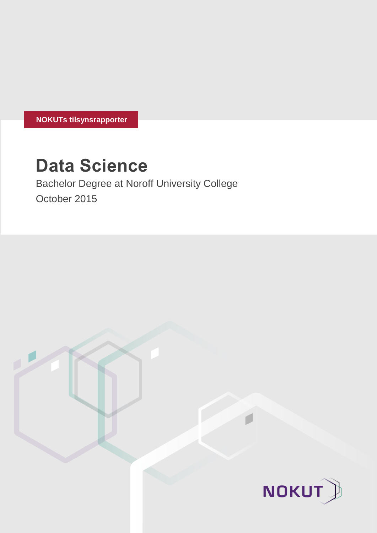**NOKUTs tilsynsrapporter**

# **Data Science**

Bachelor Degree at Noroff University College October 2015

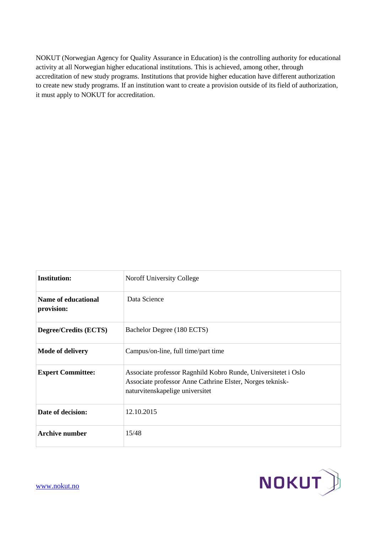NOKUT (Norwegian Agency for Quality Assurance in Education) is the controlling authority for educational activity at all Norwegian higher educational institutions. This is achieved, among other, through accreditation of new study programs. Institutions that provide higher education have different authorization to create new study programs. If an institution want to create a provision outside of its field of authorization, it must apply to NOKUT for accreditation.

| <b>Institution:</b>               | <b>Noroff University College</b>                                                                                                                               |
|-----------------------------------|----------------------------------------------------------------------------------------------------------------------------------------------------------------|
| Name of educational<br>provision: | Data Science                                                                                                                                                   |
| <b>Degree/Credits (ECTS)</b>      | Bachelor Degree (180 ECTS)                                                                                                                                     |
| Mode of delivery                  | Campus/on-line, full time/part time                                                                                                                            |
| <b>Expert Committee:</b>          | Associate professor Ragnhild Kobro Runde, Universitetet i Oslo<br>Associate professor Anne Cathrine Elster, Norges teknisk-<br>naturvitenskapelige universitet |
| Date of decision:                 | 12.10.2015                                                                                                                                                     |
| <b>Archive number</b>             | 15/48                                                                                                                                                          |

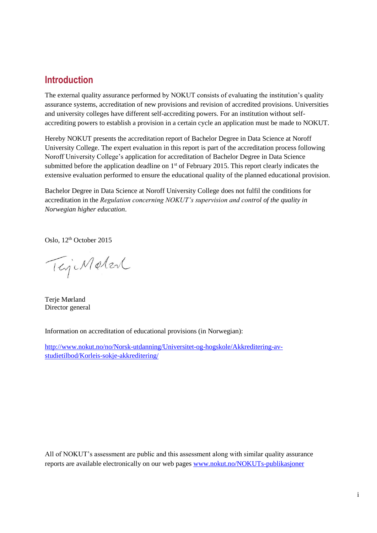# **Introduction**

The external quality assurance performed by NOKUT consists of evaluating the institution's quality assurance systems, accreditation of new provisions and revision of accredited provisions. Universities and university colleges have different self-accrediting powers. For an institution without selfaccrediting powers to establish a provision in a certain cycle an application must be made to NOKUT.

Hereby NOKUT presents the accreditation report of Bachelor Degree in Data Science at Noroff University College. The expert evaluation in this report is part of the accreditation process following Noroff University College's application for accreditation of Bachelor Degree in Data Science submitted before the application deadline on 1<sup>st</sup> of February 2015. This report clearly indicates the extensive evaluation performed to ensure the educational quality of the planned educational provision.

Bachelor Degree in Data Science at Noroff University College does not fulfil the conditions for accreditation in the *Regulation concerning NOKUT's supervision and control of the quality in Norwegian higher education*.

Oslo, 12<sup>th</sup> October 2015

TejiMeter

Terje Mørland Director general

Information on accreditation of educational provisions (in Norwegian):

[http://www.nokut.no/no/Norsk-utdanning/Universitet-og-hogskole/Akkreditering-av](http://www.nokut.no/no/Norsk-utdanning/Universitet-og-hogskole/Akkreditering-av-studietilbod/Korleis-sokje-akkreditering/)[studietilbod/Korleis-sokje-akkreditering/](http://www.nokut.no/no/Norsk-utdanning/Universitet-og-hogskole/Akkreditering-av-studietilbod/Korleis-sokje-akkreditering/)

All of NOKUT's assessment are public and this assessment along with similar quality assurance reports are available electronically on our web pages [www.nokut.no/NOKUTs-publikasjoner](http://www.nokut.no/NOKUTs-publikasjoner)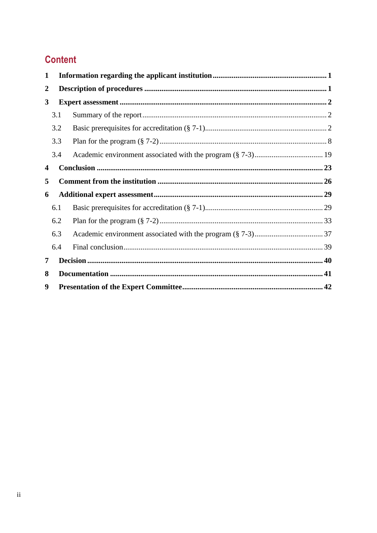# **Content**

| 1                |     |  |  |
|------------------|-----|--|--|
| $\boldsymbol{2}$ |     |  |  |
| 3                |     |  |  |
|                  | 3.1 |  |  |
|                  | 3.2 |  |  |
|                  | 3.3 |  |  |
|                  | 3.4 |  |  |
| 4                |     |  |  |
| 5                |     |  |  |
| 6                |     |  |  |
|                  | 6.1 |  |  |
|                  | 6.2 |  |  |
|                  | 6.3 |  |  |
|                  | 6.4 |  |  |
|                  | 7   |  |  |
| 8                |     |  |  |
| 9                |     |  |  |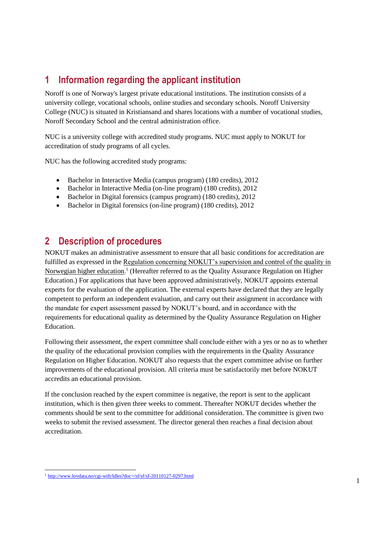# <span id="page-4-0"></span>**1 Information regarding the applicant institution**

Noroff is one of Norway's largest private educational institutions. The institution consists of a university college, vocational schools, online studies and secondary schools. Noroff University College (NUC) is situated in Kristiansand and shares locations with a number of vocational studies, Noroff Secondary School and the central administration office.

NUC is a university college with accredited study programs. NUC must apply to NOKUT for accreditation of study programs of all cycles.

NUC has the following accredited study programs:

- Bachelor in Interactive Media (campus program) (180 credits), 2012
- Bachelor in Interactive Media (on-line program) (180 credits), 2012
- Bachelor in Digital forensics (campus program) (180 credits), 2012
- Bachelor in Digital forensics (on-line program) (180 credits), 2012

# <span id="page-4-1"></span>**2 Description of procedures**

NOKUT makes an administrative assessment to ensure that all basic conditions for accreditation are fulfilled as expressed in the Regulation concerning NOKUT's supervision and control of the quality in Norwegian higher education.<sup>1</sup> (Hereafter referred to as the Quality Assurance Regulation on Higher Education.) For applications that have been approved administratively, NOKUT appoints external experts for the evaluation of the application. The external experts have declared that they are legally competent to perform an independent evaluation, and carry out their assignment in accordance with the mandate for expert assessment passed by NOKUT's board, and in accordance with the requirements for educational quality as determined by the Quality Assurance Regulation on Higher Education.

Following their assessment, the expert committee shall conclude either with a yes or no as to whether the quality of the educational provision complies with the requirements in the Quality Assurance Regulation on Higher Education. NOKUT also requests that the expert committee advise on further improvements of the educational provision. All criteria must be satisfactorily met before NOKUT accredits an educational provision.

If the conclusion reached by the expert committee is negative, the report is sent to the applicant institution, which is then given three weeks to comment. Thereafter NOKUT decides whether the comments should be sent to the committee for additional consideration. The committee is given two weeks to submit the revised assessment. The director general then reaches a final decision about accreditation.

 $\overline{a}$ <sup>1</sup> <http://www.lovdata.no/cgi-wift/ldles?doc=/sf/sf/sf-20110127-0297.html>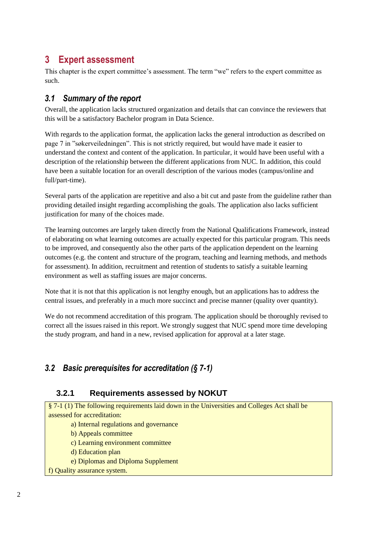# <span id="page-5-0"></span>**3 Expert assessment**

This chapter is the expert committee's assessment. The term "we" refers to the expert committee as such.

### <span id="page-5-1"></span>*3.1 Summary of the report*

Overall, the application lacks structured organization and details that can convince the reviewers that this will be a satisfactory Bachelor program in Data Science.

With regards to the application format, the application lacks the general introduction as described on page 7 in "søkerveiledningen". This is not strictly required, but would have made it easier to understand the context and content of the application. In particular, it would have been useful with a description of the relationship between the different applications from NUC. In addition, this could have been a suitable location for an overall description of the various modes (campus/online and full/part-time).

Several parts of the application are repetitive and also a bit cut and paste from the guideline rather than providing detailed insight regarding accomplishing the goals. The application also lacks sufficient justification for many of the choices made.

The learning outcomes are largely taken directly from the National Qualifications Framework, instead of elaborating on what learning outcomes are actually expected for this particular program. This needs to be improved, and consequently also the other parts of the application dependent on the learning outcomes (e.g. the content and structure of the program, teaching and learning methods, and methods for assessment). In addition, recruitment and retention of students to satisfy a suitable learning environment as well as staffing issues are major concerns.

Note that it is not that this application is not lengthy enough, but an applications has to address the central issues, and preferably in a much more succinct and precise manner (quality over quantity).

We do not recommend accreditation of this program. The application should be thoroughly revised to correct all the issues raised in this report. We strongly suggest that NUC spend more time developing the study program, and hand in a new, revised application for approval at a later stage.

## <span id="page-5-2"></span>*3.2 Basic prerequisites for accreditation (§ 7-1)*

### **3.2.1 Requirements assessed by NOKUT**

§ 7-1 (1) The following requirements laid down in the Universities and Colleges Act shall be assessed for accreditation:

- a) Internal regulations and governance
- b) Appeals committee
- c) Learning environment committee
- d) Education plan
- e) Diplomas and Diploma Supplement
- f) Quality assurance system.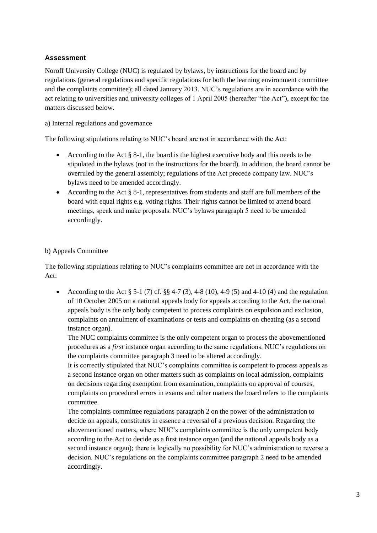Noroff University College (NUC) is regulated by bylaws, by instructions for the board and by regulations (general regulations and specific regulations for both the learning environment committee and the complaints committee); all dated January 2013. NUC's regulations are in accordance with the act relating to universities and university colleges of 1 April 2005 (hereafter "the Act"), except for the matters discussed below.

#### a) Internal regulations and governance

The following stipulations relating to NUC's board are not in accordance with the Act:

- According to the Act  $\S$  8-1, the board is the highest executive body and this needs to be stipulated in the bylaws (not in the instructions for the board). In addition, the board cannot be overruled by the general assembly; regulations of the Act precede company law. NUC's bylaws need to be amended accordingly.
- According to the Act § 8-1, representatives from students and staff are full members of the board with equal rights e.g. voting rights. Their rights cannot be limited to attend board meetings, speak and make proposals. NUC's bylaws paragraph 5 need to be amended accordingly.

#### b) Appeals Committee

The following stipulations relating to NUC's complaints committee are not in accordance with the Act:

• According to the Act § 5-1 (7) cf. §§ 4-7 (3), 4-8 (10), 4-9 (5) and 4-10 (4) and the regulation of 10 October 2005 on a national appeals body for appeals according to the Act, the national appeals body is the only body competent to process complaints on expulsion and exclusion, complaints on annulment of examinations or tests and complaints on cheating (as a second instance organ).

The NUC complaints committee is the only competent organ to process the abovementioned procedures as a *first* instance organ according to the same regulations. NUC's regulations on the complaints committee paragraph 3 need to be altered accordingly.

It is correctly stipulated that NUC's complaints committee is competent to process appeals as a second instance organ on other matters such as complaints on local admission, complaints on decisions regarding exemption from examination, complaints on approval of courses, complaints on procedural errors in exams and other matters the board refers to the complaints committee.

The complaints committee regulations paragraph 2 on the power of the administration to decide on appeals, constitutes in essence a reversal of a previous decision. Regarding the abovementioned matters, where NUC's complaints committee is the only competent body according to the Act to decide as a first instance organ (and the national appeals body as a second instance organ); there is logically no possibility for NUC's administration to reverse a decision. NUC's regulations on the complaints committee paragraph 2 need to be amended accordingly.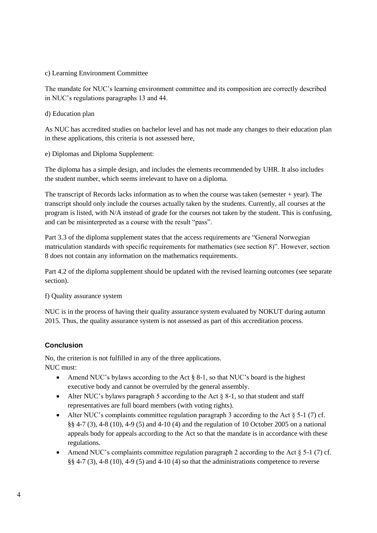#### c) Learning Environment Committee

The mandate for NUC's learning environment committee and its composition are correctly described in NUC's regulations paragraphs 13 and 44.

#### d) Education plan

As NUC has accredited studies on bachelor level and has not made any changes to their education plan in these applications, this criteria is not assessed here,

e) Diplomas and Diploma Supplement:

The diploma has a simple design, and includes the elements recommended by UHR. It also includes the student number, which seems irrelevant to have on a diploma.

The transcript of Records lacks information as to when the course was taken (semester + year). The transcript should only include the courses actually taken by the students. Currently, all courses at the program is listed, with N/A instead of grade for the courses not taken by the student. This is confusing, and can be misinterpreted as a course with the result "pass".

Part 3.3 of the diploma supplement states that the access requirements are "General Norwegian matriculation standards with specific requirements for mathematics (see section 8)". However, section 8 does not contain any information on the mathematics requirements.

Part 4.2 of the diploma supplement should be updated with the revised learning outcomes (see separate section).

f) Quality assurance system

NUC is in the process of having their quality assurance system evaluated by NOKUT during autumn 2015. Thus, the quality assurance system is not assessed as part of this accreditation process.

#### **Conclusion**

No, the criterion is not fulfilled in any of the three applications. NUC must:

- Amend NUC's bylaws according to the Act § 8-1, so that NUC's board is the highest executive body and cannot be overruled by the general assembly.
- Alter NUC's bylaws paragraph 5 according to the Act  $\S$  8-1, so that student and staff representatives are full board members (with voting rights).
- Alter NUC's complaints committee regulation paragraph 3 according to the Act  $\S$  5-1 (7) cf. §§ 4-7 (3), 4-8 (10), 4-9 (5) and 4-10 (4) and the regulation of 10 October 2005 on a national appeals body for appeals according to the Act so that the mandate is in accordance with these regulations.
- Amend NUC's complaints committee regulation paragraph 2 according to the Act  $\S$  5-1 (7) cf. §§ 4-7 (3), 4-8 (10), 4-9 (5) and 4-10 (4) so that the administrations competence to reverse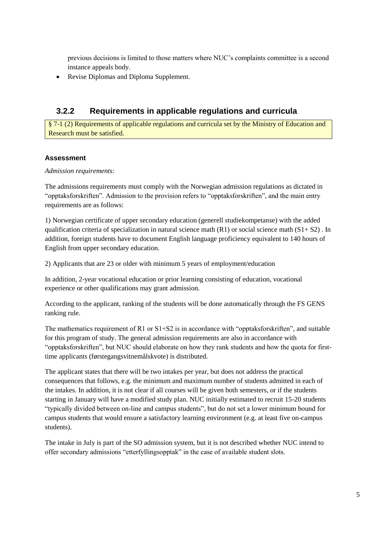previous decisions is limited to those matters where NUC's complaints committee is a second instance appeals body.

Revise Diplomas and Diploma Supplement.

### **3.2.2 Requirements in applicable regulations and curricula**

§ 7-1 (2) Requirements of applicable regulations and curricula set by the Ministry of Education and Research must be satisfied.

#### **Assessment**

*Admission requirements:*

The admissions requirements must comply with the Norwegian admission regulations as dictated in "opptaksforskriften". Admission to the provision refers to "opptaksforskriften", and the main entry requirements are as follows:

1) Norwegian certificate of upper secondary education (generell studiekompetanse) with the added qualification criteria of specialization in natural science math (R1) or social science math (S1+ S2) . In addition, foreign students have to document English language proficiency equivalent to 140 hours of English from upper secondary education.

2) Applicants that are 23 or older with minimum 5 years of employment/education

In addition, 2-year vocational education or prior learning consisting of education, vocational experience or other qualifications may grant admission.

According to the applicant, ranking of the students will be done automatically through the FS GENS ranking rule.

The mathematics requirement of R1 or S1+S2 is in accordance with "opptaksforskriften", and suitable for this program of study. The general admission requirements are also in accordance with "opptaksforskriften", but NUC should elaborate on how they rank students and how the quota for firsttime applicants (førstegangsvitnemålskvote) is distributed.

The applicant states that there will be two intakes per year, but does not address the practical consequences that follows, e.g. the minimum and maximum number of students admitted in each of the intakes. In addition, it is not clear if all courses will be given both semesters, or if the students starting in January will have a modified study plan. NUC initially estimated to recruit 15-20 students "typically divided between on-line and campus students", but do not set a lower minimum bound for campus students that would ensure a satisfactory learning environment (e.g. at least five on-campus students).

The intake in July is part of the SO admission system, but it is not described whether NUC intend to offer secondary admissions "etterfyllingsopptak" in the case of available student slots.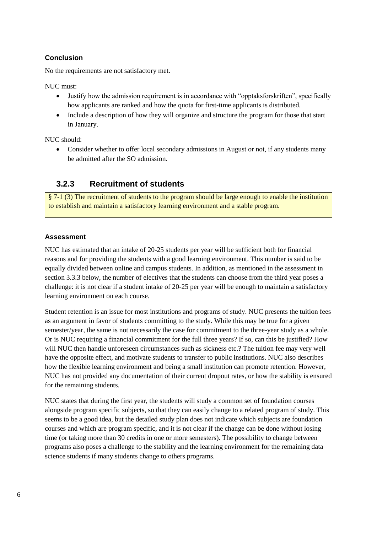### **Conclusion**

No the requirements are not satisfactory met.

NUC must:

- Justify how the admission requirement is in accordance with "opptaksforskriften", specifically how applicants are ranked and how the quota for first-time applicants is distributed.
- Include a description of how they will organize and structure the program for those that start in January.

NUC should:

 Consider whether to offer local secondary admissions in August or not, if any students many be admitted after the SO admission.

### **3.2.3 Recruitment of students**

§ 7-1 (3) The recruitment of students to the program should be large enough to enable the institution to establish and maintain a satisfactory learning environment and a stable program.

#### **Assessment**

NUC has estimated that an intake of 20-25 students per year will be sufficient both for financial reasons and for providing the students with a good learning environment. This number is said to be equally divided between online and campus students. In addition, as mentioned in the assessment in section 3.3.3 below, the number of electives that the students can choose from the third year poses a challenge: it is not clear if a student intake of 20-25 per year will be enough to maintain a satisfactory learning environment on each course.

Student retention is an issue for most institutions and programs of study. NUC presents the tuition fees as an argument in favor of students committing to the study. While this may be true for a given semester/year, the same is not necessarily the case for commitment to the three-year study as a whole. Or is NUC requiring a financial commitment for the full three years? If so, can this be justified? How will NUC then handle unforeseen circumstances such as sickness etc.? The tuition fee may very well have the opposite effect, and motivate students to transfer to public institutions. NUC also describes how the flexible learning environment and being a small institution can promote retention. However, NUC has not provided any documentation of their current dropout rates, or how the stability is ensured for the remaining students.

NUC states that during the first year, the students will study a common set of foundation courses alongside program specific subjects, so that they can easily change to a related program of study. This seems to be a good idea, but the detailed study plan does not indicate which subjects are foundation courses and which are program specific, and it is not clear if the change can be done without losing time (or taking more than 30 credits in one or more semesters). The possibility to change between programs also poses a challenge to the stability and the learning environment for the remaining data science students if many students change to others programs.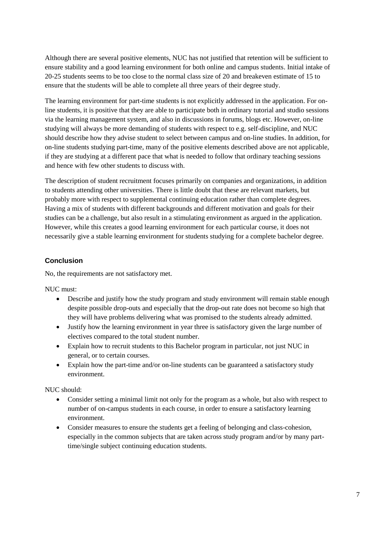Although there are several positive elements, NUC has not justified that retention will be sufficient to ensure stability and a good learning environment for both online and campus students. Initial intake of 20-25 students seems to be too close to the normal class size of 20 and breakeven estimate of 15 to ensure that the students will be able to complete all three years of their degree study.

The learning environment for part-time students is not explicitly addressed in the application. For online students, it is positive that they are able to participate both in ordinary tutorial and studio sessions via the learning management system, and also in discussions in forums, blogs etc. However, on-line studying will always be more demanding of students with respect to e.g. self-discipline, and NUC should describe how they advise student to select between campus and on-line studies. In addition, for on-line students studying part-time, many of the positive elements described above are not applicable, if they are studying at a different pace that what is needed to follow that ordinary teaching sessions and hence with few other students to discuss with.

The description of student recruitment focuses primarily on companies and organizations, in addition to students attending other universities. There is little doubt that these are relevant markets, but probably more with respect to supplemental continuing education rather than complete degrees. Having a mix of students with different backgrounds and different motivation and goals for their studies can be a challenge, but also result in a stimulating environment as argued in the application. However, while this creates a good learning environment for each particular course, it does not necessarily give a stable learning environment for students studying for a complete bachelor degree.

#### **Conclusion**

No, the requirements are not satisfactory met.

NUC must:

- Describe and justify how the study program and study environment will remain stable enough despite possible drop-outs and especially that the drop-out rate does not become so high that they will have problems delivering what was promised to the students already admitted.
- Justify how the learning environment in year three is satisfactory given the large number of electives compared to the total student number.
- Explain how to recruit students to this Bachelor program in particular, not just NUC in general, or to certain courses.
- Explain how the part-time and/or on-line students can be guaranteed a satisfactory study environment.

NUC should:

- Consider setting a minimal limit not only for the program as a whole, but also with respect to number of on-campus students in each course, in order to ensure a satisfactory learning environment.
- Consider measures to ensure the students get a feeling of belonging and class-cohesion, especially in the common subjects that are taken across study program and/or by many parttime/single subject continuing education students.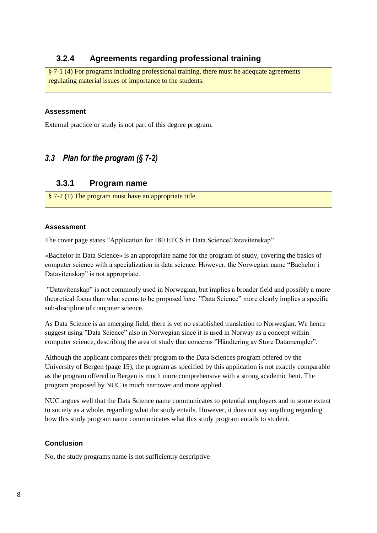### **3.2.4 Agreements regarding professional training**

§ 7-1 (4) For programs including professional training, there must be adequate agreements regulating material issues of importance to the students.

#### **Assessment**

External practice or study is not part of this degree program.

### <span id="page-11-0"></span>*3.3 Plan for the program (§ 7-2)*

### **3.3.1 Program name**

§ 7-2 (1) The program must have an appropriate title.

#### **Assessment**

The cover page states "Application for 180 ETCS in Data Science/Datavitenskap"

«Bachelor in Data Science» is an appropriate name for the program of study, covering the basics of computer science with a specialization in data science. However, the Norwegian name "Bachelor i Datavitenskap" is not appropriate.

"Datavitenskap" is not commonly used in Norwegian, but implies a broader field and possibly a more theoretical focus than what seems to be proposed here. "Data Science" more clearly implies a specific sub-discipline of computer science.

As Data Science is an emerging field, there is yet no established translation to Norwegian. We hence suggest using "Data Science" also in Norwegian since it is used in Norway as a concept within computer science, describing the area of study that concerns "Håndtering av Store Datamengder".

Although the applicant compares their program to the Data Sciences program offered by the University of Bergen (page 15), the program as specified by this application is not exactly comparable as the program offered in Bergen is much more comprehensive with a strong academic bent. The program proposed by NUC is much narrower and more applied.

NUC argues well that the Data Science name communicates to potential employers and to some extent to society as a whole, regarding what the study entails. However, it does not say anything regarding how this study program name communicates what this study program entails to student.

#### **Conclusion**

No, the study programs name is not sufficiently descriptive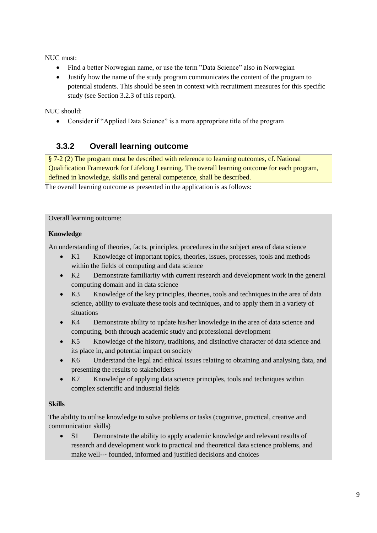NUC must:

- Find a better Norwegian name, or use the term "Data Science" also in Norwegian
- Justify how the name of the study program communicates the content of the program to potential students. This should be seen in context with recruitment measures for this specific study (see Section 3.2.3 of this report).

NUC should:

Consider if "Applied Data Science" is a more appropriate title of the program

### **3.3.2 Overall learning outcome**

§ 7-2 (2) The program must be described with reference to learning outcomes, cf. National Qualification Framework for Lifelong Learning. The overall learning outcome for each program, defined in knowledge, skills and general competence, shall be described.

The overall learning outcome as presented in the application is as follows:

Overall learning outcome:

#### **Knowledge**

An understanding of theories, facts, principles, procedures in the subject area of data science

- K1 Knowledge of important topics, theories, issues, processes, tools and methods within the fields of computing and data science
- K2 Demonstrate familiarity with current research and development work in the general computing domain and in data science
- K3 Knowledge of the key principles, theories, tools and techniques in the area of data science, ability to evaluate these tools and techniques, and to apply them in a variety of situations
- K4 Demonstrate ability to update his/her knowledge in the area of data science and computing, both through academic study and professional development
- K5 Knowledge of the history, traditions, and distinctive character of data science and its place in, and potential impact on society
- K6 Understand the legal and ethical issues relating to obtaining and analysing data, and presenting the results to stakeholders
- K<sub>7</sub> Knowledge of applying data science principles, tools and techniques within complex scientific and industrial fields

#### **Skills**

The ability to utilise knowledge to solve problems or tasks (cognitive, practical, creative and communication skills)

 S1 Demonstrate the ability to apply academic knowledge and relevant results of research and development work to practical and theoretical data science problems, and make well--‐ founded, informed and justified decisions and choices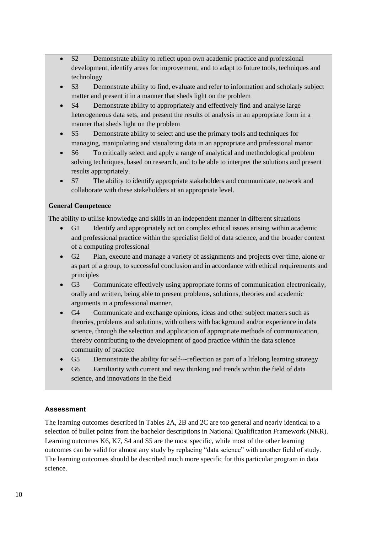- S2 Demonstrate ability to reflect upon own academic practice and professional development, identify areas for improvement, and to adapt to future tools, techniques and technology
- S3 Demonstrate ability to find, evaluate and refer to information and scholarly subject matter and present it in a manner that sheds light on the problem
- S4 Demonstrate ability to appropriately and effectively find and analyse large heterogeneous data sets, and present the results of analysis in an appropriate form in a manner that sheds light on the problem
- S5 Demonstrate ability to select and use the primary tools and techniques for managing, manipulating and visualizing data in an appropriate and professional manor
- S6 To critically select and apply a range of analytical and methodological problem solving techniques, based on research, and to be able to interpret the solutions and present results appropriately.
- S7 The ability to identify appropriate stakeholders and communicate, network and collaborate with these stakeholders at an appropriate level.

#### **General Competence**

The ability to utilise knowledge and skills in an independent manner in different situations

- G1 Identify and appropriately act on complex ethical issues arising within academic and professional practice within the specialist field of data science, and the broader context of a computing professional
- G2 Plan, execute and manage a variety of assignments and projects over time, alone or as part of a group, to successful conclusion and in accordance with ethical requirements and principles
- G3 Communicate effectively using appropriate forms of communication electronically, orally and written, being able to present problems, solutions, theories and academic arguments in a professional manner.
- G4 Communicate and exchange opinions, ideas and other subject matters such as theories, problems and solutions, with others with background and/or experience in data science, through the selection and application of appropriate methods of communication, thereby contributing to the development of good practice within the data science community of practice
- G5 Demonstrate the ability for self---reflection as part of a lifelong learning strategy
- G6 Familiarity with current and new thinking and trends within the field of data science, and innovations in the field

### **Assessment**

The learning outcomes described in Tables 2A, 2B and 2C are too general and nearly identical to a selection of bullet points from the bachelor descriptions in National Qualification Framework (NKR). Learning outcomes K6, K7, S4 and S5 are the most specific, while most of the other learning outcomes can be valid for almost any study by replacing "data science" with another field of study. The learning outcomes should be described much more specific for this particular program in data science.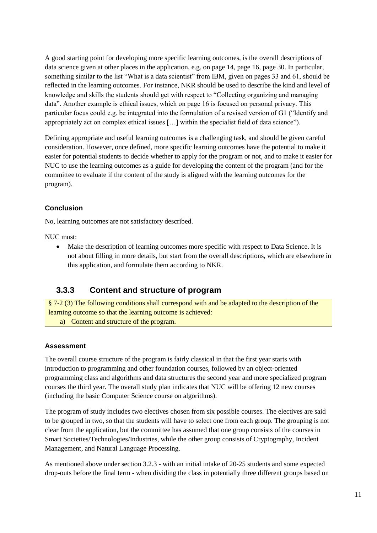A good starting point for developing more specific learning outcomes, is the overall descriptions of data science given at other places in the application, e.g. on page 14, page 16, page 30. In particular, something similar to the list "What is a data scientist" from IBM, given on pages 33 and 61, should be reflected in the learning outcomes. For instance, NKR should be used to describe the kind and level of knowledge and skills the students should get with respect to "Collecting organizing and managing data". Another example is ethical issues, which on page 16 is focused on personal privacy. This particular focus could e.g. be integrated into the formulation of a revised version of G1 ("Identify and appropriately act on complex ethical issues […] within the specialist field of data science").

Defining appropriate and useful learning outcomes is a challenging task, and should be given careful consideration. However, once defined, more specific learning outcomes have the potential to make it easier for potential students to decide whether to apply for the program or not, and to make it easier for NUC to use the learning outcomes as a guide for developing the content of the program (and for the committee to evaluate if the content of the study is aligned with the learning outcomes for the program).

#### **Conclusion**

No, learning outcomes are not satisfactory described.

NUC must:

 Make the description of learning outcomes more specific with respect to Data Science. It is not about filling in more details, but start from the overall descriptions, which are elsewhere in this application, and formulate them according to NKR.

### **3.3.3 Content and structure of program**

§ 7-2 (3) The following conditions shall correspond with and be adapted to the description of the learning outcome so that the learning outcome is achieved: a) Content and structure of the program.

#### **Assessment**

The overall course structure of the program is fairly classical in that the first year starts with introduction to programming and other foundation courses, followed by an object-oriented programming class and algorithms and data structures the second year and more specialized program courses the third year. The overall study plan indicates that NUC will be offering 12 new courses (including the basic Computer Science course on algorithms).

The program of study includes two electives chosen from six possible courses. The electives are said to be grouped in two, so that the students will have to select one from each group. The grouping is not clear from the application, but the committee has assumed that one group consists of the courses in Smart Societies/Technologies/Industries, while the other group consists of Cryptography, Incident Management, and Natural Language Processing.

As mentioned above under section 3.2.3 - with an initial intake of 20-25 students and some expected drop-outs before the final term - when dividing the class in potentially three different groups based on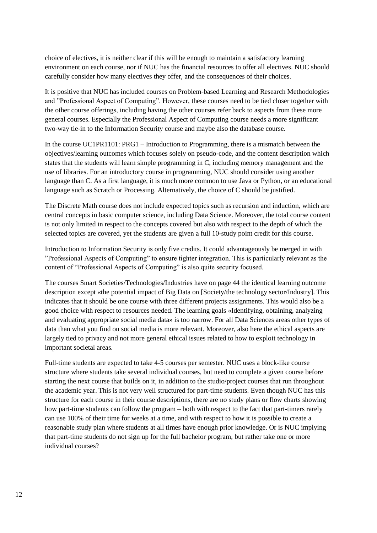choice of electives, it is neither clear if this will be enough to maintain a satisfactory learning environment on each course, nor if NUC has the financial resources to offer all electives. NUC should carefully consider how many electives they offer, and the consequences of their choices.

It is positive that NUC has included courses on Problem-based Learning and Research Methodologies and "Professional Aspect of Computing". However, these courses need to be tied closer together with the other course offerings, including having the other courses refer back to aspects from these more general courses. Especially the Professional Aspect of Computing course needs a more significant two-way tie-in to the Information Security course and maybe also the database course.

In the course UC1PR1101: PRG1 – Introduction to Programming, there is a mismatch between the objectives/learning outcomes which focuses solely on pseudo-code, and the content description which states that the students will learn simple programming in C, including memory management and the use of libraries. For an introductory course in programming, NUC should consider using another language than C. As a first language, it is much more common to use Java or Python, or an educational language such as Scratch or Processing. Alternatively, the choice of C should be justified.

The Discrete Math course does not include expected topics such as recursion and induction, which are central concepts in basic computer science, including Data Science. Moreover, the total course content is not only limited in respect to the concepts covered but also with respect to the depth of which the selected topics are covered, yet the students are given a full 10-study point credit for this course.

Introduction to Information Security is only five credits. It could advantageously be merged in with "Professional Aspects of Computing" to ensure tighter integration. This is particularly relevant as the content of "Professional Aspects of Computing" is also quite security focused.

The courses Smart Societies/Technologies/Industries have on page 44 the identical learning outcome description except «the potential impact of Big Data on [Society/the technology sector/Industry]. This indicates that it should be one course with three different projects assignments. This would also be a good choice with respect to resources needed. The learning goals «Identifying, obtaining, analyzing and evaluating appropriate social media data» is too narrow. For all Data Sciences areas other types of data than what you find on social media is more relevant. Moreover, also here the ethical aspects are largely tied to privacy and not more general ethical issues related to how to exploit technology in important societal areas.

Full-time students are expected to take 4-5 courses per semester. NUC uses a block-like course structure where students take several individual courses, but need to complete a given course before starting the next course that builds on it, in addition to the studio/project courses that run throughout the academic year. This is not very well structured for part-time students. Even though NUC has this structure for each course in their course descriptions, there are no study plans or flow charts showing how part-time students can follow the program – both with respect to the fact that part-timers rarely can use 100% of their time for weeks at a time, and with respect to how it is possible to create a reasonable study plan where students at all times have enough prior knowledge. Or is NUC implying that part-time students do not sign up for the full bachelor program, but rather take one or more individual courses?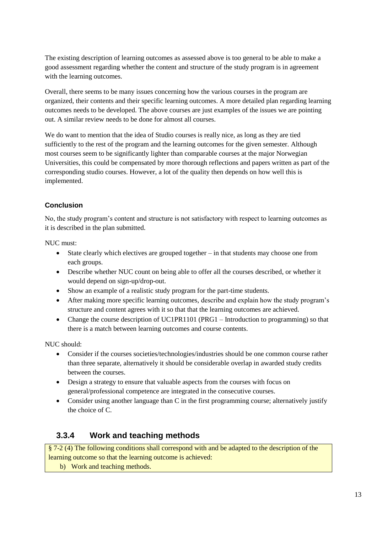The existing description of learning outcomes as assessed above is too general to be able to make a good assessment regarding whether the content and structure of the study program is in agreement with the learning outcomes.

Overall, there seems to be many issues concerning how the various courses in the program are organized, their contents and their specific learning outcomes. A more detailed plan regarding learning outcomes needs to be developed. The above courses are just examples of the issues we are pointing out. A similar review needs to be done for almost all courses.

We do want to mention that the idea of Studio courses is really nice, as long as they are tied sufficiently to the rest of the program and the learning outcomes for the given semester. Although most courses seem to be significantly lighter than comparable courses at the major Norwegian Universities, this could be compensated by more thorough reflections and papers written as part of the corresponding studio courses. However, a lot of the quality then depends on how well this is implemented.

### **Conclusion**

No, the study program's content and structure is not satisfactory with respect to learning outcomes as it is described in the plan submitted.

NUC must:

- State clearly which electives are grouped together in that students may choose one from each groups.
- Describe whether NUC count on being able to offer all the courses described, or whether it would depend on sign-up/drop-out.
- Show an example of a realistic study program for the part-time students.
- After making more specific learning outcomes, describe and explain how the study program's structure and content agrees with it so that that the learning outcomes are achieved.
- Change the course description of UC1PR1101 (PRG1 Introduction to programming) so that there is a match between learning outcomes and course contents.

NUC should:

- Consider if the courses societies/technologies/industries should be one common course rather than three separate, alternatively it should be considerable overlap in awarded study credits between the courses.
- Design a strategy to ensure that valuable aspects from the courses with focus on general/professional competence are integrated in the consecutive courses.
- Consider using another language than C in the first programming course; alternatively justify the choice of C.

### **3.3.4 Work and teaching methods**

§ 7-2 (4) The following conditions shall correspond with and be adapted to the description of the learning outcome so that the learning outcome is achieved:

b) Work and teaching methods.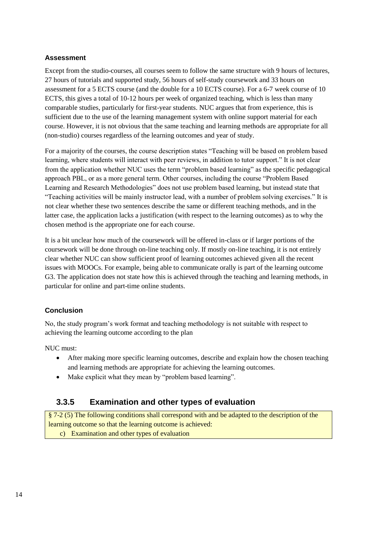Except from the studio-courses, all courses seem to follow the same structure with 9 hours of lectures, 27 hours of tutorials and supported study, 56 hours of self-study coursework and 33 hours on assessment for a 5 ECTS course (and the double for a 10 ECTS course). For a 6-7 week course of 10 ECTS, this gives a total of 10-12 hours per week of organized teaching, which is less than many comparable studies, particularly for first-year students. NUC argues that from experience, this is sufficient due to the use of the learning management system with online support material for each course. However, it is not obvious that the same teaching and learning methods are appropriate for all (non-studio) courses regardless of the learning outcomes and year of study.

For a majority of the courses, the course description states "Teaching will be based on problem based learning, where students will interact with peer reviews, in addition to tutor support." It is not clear from the application whether NUC uses the term "problem based learning" as the specific pedagogical approach PBL, or as a more general term. Other courses, including the course "Problem Based Learning and Research Methodologies" does not use problem based learning, but instead state that "Teaching activities will be mainly instructor lead, with a number of problem solving exercises." It is not clear whether these two sentences describe the same or different teaching methods, and in the latter case, the application lacks a justification (with respect to the learning outcomes) as to why the chosen method is the appropriate one for each course.

It is a bit unclear how much of the coursework will be offered in-class or if larger portions of the coursework will be done through on-line teaching only. If mostly on-line teaching, it is not entirely clear whether NUC can show sufficient proof of learning outcomes achieved given all the recent issues with MOOCs. For example, being able to communicate orally is part of the learning outcome G3. The application does not state how this is achieved through the teaching and learning methods, in particular for online and part-time online students.

#### **Conclusion**

No, the study program's work format and teaching methodology is not suitable with respect to achieving the learning outcome according to the plan

NUC must:

- After making more specific learning outcomes, describe and explain how the chosen teaching and learning methods are appropriate for achieving the learning outcomes.
- Make explicit what they mean by "problem based learning".

### **3.3.5 Examination and other types of evaluation**

§ 7-2 (5) The following conditions shall correspond with and be adapted to the description of the learning outcome so that the learning outcome is achieved:

c) Examination and other types of evaluation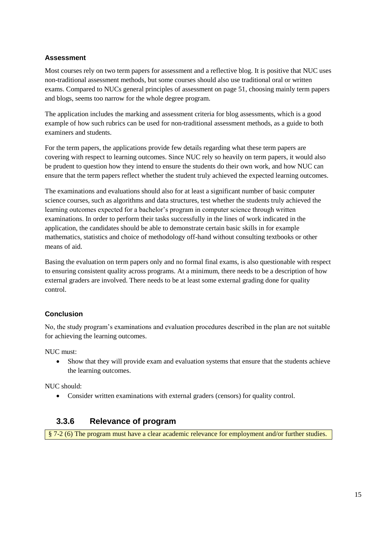Most courses rely on two term papers for assessment and a reflective blog. It is positive that NUC uses non-traditional assessment methods, but some courses should also use traditional oral or written exams. Compared to NUCs general principles of assessment on page 51, choosing mainly term papers and blogs, seems too narrow for the whole degree program.

The application includes the marking and assessment criteria for blog assessments, which is a good example of how such rubrics can be used for non-traditional assessment methods, as a guide to both examiners and students.

For the term papers, the applications provide few details regarding what these term papers are covering with respect to learning outcomes. Since NUC rely so heavily on term papers, it would also be prudent to question how they intend to ensure the students do their own work, and how NUC can ensure that the term papers reflect whether the student truly achieved the expected learning outcomes.

The examinations and evaluations should also for at least a significant number of basic computer science courses, such as algorithms and data structures, test whether the students truly achieved the learning outcomes expected for a bachelor's program in computer science through written examinations. In order to perform their tasks successfully in the lines of work indicated in the application, the candidates should be able to demonstrate certain basic skills in for example mathematics, statistics and choice of methodology off-hand without consulting textbooks or other means of aid.

Basing the evaluation on term papers only and no formal final exams, is also questionable with respect to ensuring consistent quality across programs. At a minimum, there needs to be a description of how external graders are involved. There needs to be at least some external grading done for quality control.

#### **Conclusion**

No, the study program's examinations and evaluation procedures described in the plan are not suitable for achieving the learning outcomes.

NUC must:

 Show that they will provide exam and evaluation systems that ensure that the students achieve the learning outcomes.

NUC should:

Consider written examinations with external graders (censors) for quality control.

### **3.3.6 Relevance of program**

§ 7-2 (6) The program must have a clear academic relevance for employment and/or further studies.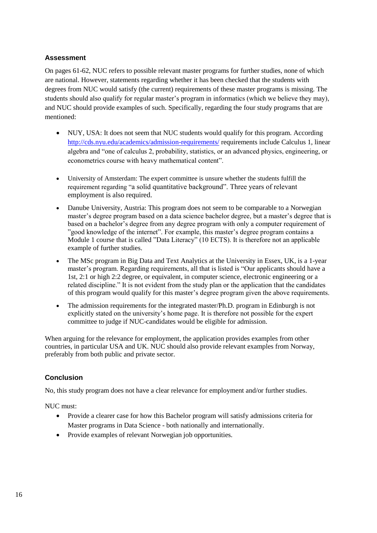On pages 61-62, NUC refers to possible relevant master programs for further studies, none of which are national. However, statements regarding whether it has been checked that the students with degrees from NUC would satisfy (the current) requirements of these master programs is missing. The students should also qualify for regular master's program in informatics (which we believe they may), and NUC should provide examples of such. Specifically, regarding the four study programs that are mentioned:

- NUY, USA: It does not seem that NUC students would qualify for this program. According <http://cds.nyu.edu/academics/admission-requirements/> requirements include Calculus 1, linear algebra and "one of calculus 2, probability, statistics, or an advanced physics, engineering, or econometrics course with heavy mathematical content".
- University of Amsterdam: The expert committee is unsure whether the students fulfill the requirement regarding "a solid quantitative background". Three years of relevant employment is also required.
- Danube University, Austria: This program does not seem to be comparable to a Norwegian master's degree program based on a data science bachelor degree, but a master's degree that is based on a bachelor's degree from any degree program with only a computer requirement of "good knowledge of the internet". For example, this master's degree program contains a Module 1 course that is called "Data Literacy" (10 ECTS). It is therefore not an applicable example of further studies.
- The MSc program in Big Data and Text Analytics at the University in Essex, UK, is a 1-year master's program. Regarding requirements, all that is listed is "Our applicants should have a 1st, 2:1 or high 2:2 degree, or equivalent, in computer science, electronic engineering or a related discipline." It is not evident from the study plan or the application that the candidates of this program would qualify for this master's degree program given the above requirements.
- The admission requirements for the integrated master/Ph.D. program in Edinburgh is not explicitly stated on the university's home page. It is therefore not possible for the expert committee to judge if NUC-candidates would be eligible for admission.

When arguing for the relevance for employment, the application provides examples from other countries, in particular USA and UK. NUC should also provide relevant examples from Norway, preferably from both public and private sector.

#### **Conclusion**

No, this study program does not have a clear relevance for employment and/or further studies.

NUC must:

- Provide a clearer case for how this Bachelor program will satisfy admissions criteria for Master programs in Data Science - both nationally and internationally.
- Provide examples of relevant Norwegian job opportunities.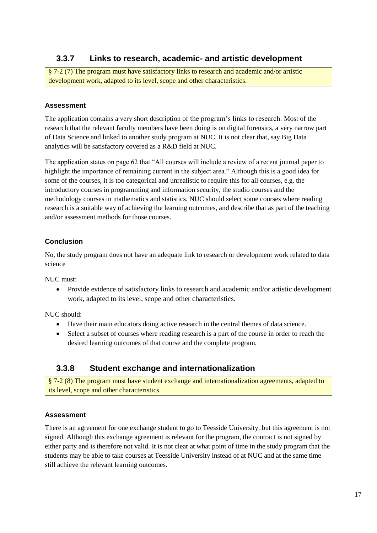### **3.3.7 Links to research, academic- and artistic development**

§ 7-2 (7) The program must have satisfactory links to research and academic and/or artistic development work, adapted to its level, scope and other characteristics.

#### **Assessment**

The application contains a very short description of the program's links to research. Most of the research that the relevant faculty members have been doing is on digital forensics, a very narrow part of Data Science and linked to another study program at NUC. It is not clear that, say Big Data analytics will be satisfactory covered as a R&D field at NUC.

The application states on page 62 that "All courses will include a review of a recent journal paper to highlight the importance of remaining current in the subject area." Although this is a good idea for some of the courses, it is too categorical and unrealistic to require this for all courses, e.g. the introductory courses in programming and information security, the studio courses and the methodology courses in mathematics and statistics. NUC should select some courses where reading research is a suitable way of achieving the learning outcomes, and describe that as part of the teaching and/or assessment methods for those courses.

#### **Conclusion**

No, the study program does not have an adequate link to research or development work related to data science

NUC must:

• Provide evidence of satisfactory links to research and academic and/or artistic development work, adapted to its level, scope and other characteristics.

NUC should:

- Have their main educators doing active research in the central themes of data science.
- Select a subset of courses where reading research is a part of the course in order to reach the desired learning outcomes of that course and the complete program.

### **3.3.8 Student exchange and internationalization**

§ 7-2 (8) The program must have student exchange and internationalization agreements, adapted to its level, scope and other characteristics.

#### **Assessment**

There is an agreement for one exchange student to go to Teesside University, but this agreement is not signed. Although this exchange agreement is relevant for the program, the contract is not signed by either party and is therefore not valid. It is not clear at what point of time in the study program that the students may be able to take courses at Teesside University instead of at NUC and at the same time still achieve the relevant learning outcomes.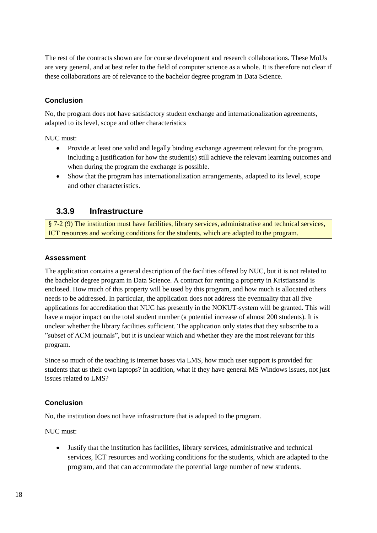The rest of the contracts shown are for course development and research collaborations. These MoUs are very general, and at best refer to the field of computer science as a whole. It is therefore not clear if these collaborations are of relevance to the bachelor degree program in Data Science.

#### **Conclusion**

No, the program does not have satisfactory student exchange and internationalization agreements, adapted to its level, scope and other characteristics

NUC must:

- Provide at least one valid and legally binding exchange agreement relevant for the program, including a justification for how the student(s) still achieve the relevant learning outcomes and when during the program the exchange is possible.
- Show that the program has internationalization arrangements, adapted to its level, scope and other characteristics.

### **3.3.9 Infrastructure**

§ 7-2 (9) The institution must have facilities, library services, administrative and technical services, ICT resources and working conditions for the students, which are adapted to the program.

#### **Assessment**

The application contains a general description of the facilities offered by NUC, but it is not related to the bachelor degree program in Data Science. A contract for renting a property in Kristiansand is enclosed. How much of this property will be used by this program, and how much is allocated others needs to be addressed. In particular, the application does not address the eventuality that all five applications for accreditation that NUC has presently in the NOKUT-system will be granted. This will have a major impact on the total student number (a potential increase of almost 200 students). It is unclear whether the library facilities sufficient. The application only states that they subscribe to a "subset of ACM journals", but it is unclear which and whether they are the most relevant for this program.

Since so much of the teaching is internet bases via LMS, how much user support is provided for students that us their own laptops? In addition, what if they have general MS Windows issues, not just issues related to LMS?

#### **Conclusion**

No, the institution does not have infrastructure that is adapted to the program.

NUC must:

 Justify that the institution has facilities, library services, administrative and technical services, ICT resources and working conditions for the students, which are adapted to the program, and that can accommodate the potential large number of new students.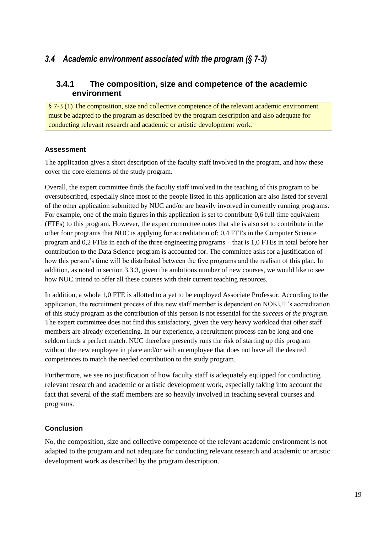### <span id="page-22-0"></span>*3.4 Academic environment associated with the program (§ 7-3)*

### **3.4.1 The composition, size and competence of the academic environment**

§ 7-3 (1) The composition, size and collective competence of the relevant academic environment must be adapted to the program as described by the program description and also adequate for conducting relevant research and academic or artistic development work.

### **Assessment**

The application gives a short description of the faculty staff involved in the program, and how these cover the core elements of the study program.

Overall, the expert committee finds the faculty staff involved in the teaching of this program to be oversubscribed, especially since most of the people listed in this application are also listed for several of the other application submitted by NUC and/or are heavily involved in currently running programs. For example, one of the main figures in this application is set to contribute 0,6 full time equivalent (FTEs) to this program. However, the expert committee notes that she is also set to contribute in the other four programs that NUC is applying for accreditation of: 0,4 FTEs in the Computer Science program and 0,2 FTEs in each of the three engineering programs – that is 1,0 FTEs in total before her contribution to the Data Science program is accounted for. The committee asks for a justification of how this person's time will be distributed between the five programs and the realism of this plan. In addition, as noted in section 3.3.3, given the ambitious number of new courses, we would like to see how NUC intend to offer all these courses with their current teaching resources.

In addition, a whole 1,0 FTE is allotted to a yet to be employed Associate Professor. According to the application, the recruitment process of this new staff member is dependent on NOKUT's accreditation of this study program as the contribution of this person is not essential for the *success of the program*. The expert committee does not find this satisfactory, given the very heavy workload that other staff members are already experiencing. In our experience, a recruitment process can be long and one seldom finds a perfect match. NUC therefore presently runs the risk of starting up this program without the new employee in place and/or with an employee that does not have all the desired competences to match the needed contribution to the study program.

Furthermore, we see no justification of how faculty staff is adequately equipped for conducting relevant research and academic or artistic development work, especially taking into account the fact that several of the staff members are so heavily involved in teaching several courses and programs.

### **Conclusion**

No, the composition, size and collective competence of the relevant academic environment is not adapted to the program and not adequate for conducting relevant research and academic or artistic development work as described by the program description.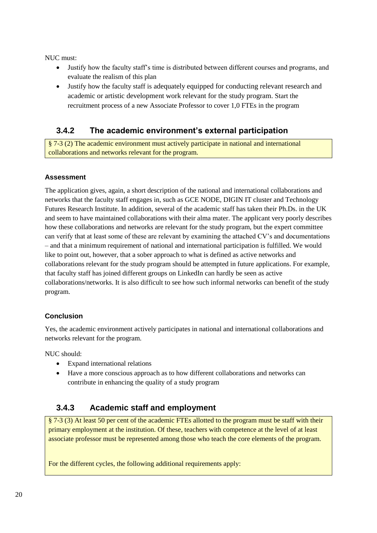NUC must:

- Justify how the faculty staff's time is distributed between different courses and programs, and evaluate the realism of this plan
- Justify how the faculty staff is adequately equipped for conducting relevant research and academic or artistic development work relevant for the study program. Start the recruitment process of a new Associate Professor to cover 1,0 FTEs in the program

### **3.4.2 The academic environment's external participation**

§ 7-3 (2) The academic environment must actively participate in national and international collaborations and networks relevant for the program.

#### **Assessment**

The application gives, again, a short description of the national and international collaborations and networks that the faculty staff engages in, such as GCE NODE, DIGIN IT cluster and Technology Futures Research Institute. In addition, several of the academic staff has taken their Ph.Ds. in the UK and seem to have maintained collaborations with their alma mater. The applicant very poorly describes how these collaborations and networks are relevant for the study program, but the expert committee can verify that at least some of these are relevant by examining the attached CV's and documentations – and that a minimum requirement of national and international participation is fulfilled. We would like to point out, however, that a sober approach to what is defined as active networks and collaborations relevant for the study program should be attempted in future applications. For example, that faculty staff has joined different groups on LinkedIn can hardly be seen as active collaborations/networks. It is also difficult to see how such informal networks can benefit of the study program.

#### **Conclusion**

Yes, the academic environment actively participates in national and international collaborations and networks relevant for the program.

NUC should:

- Expand international relations
- Have a more conscious approach as to how different collaborations and networks can contribute in enhancing the quality of a study program

### **3.4.3 Academic staff and employment**

§ 7-3 (3) At least 50 per cent of the academic FTEs allotted to the program must be staff with their primary employment at the institution. Of these, teachers with competence at the level of at least associate professor must be represented among those who teach the core elements of the program.

For the different cycles, the following additional requirements apply: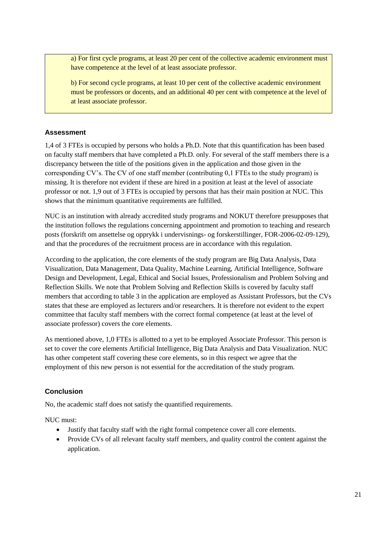a) For first cycle programs, at least 20 per cent of the collective academic environment must have competence at the level of at least associate professor.

b) For second cycle programs, at least 10 per cent of the collective academic environment must be professors or docents, and an additional 40 per cent with competence at the level of at least associate professor.

#### **Assessment**

1,4 of 3 FTEs is occupied by persons who holds a Ph.D. Note that this quantification has been based on faculty staff members that have completed a Ph.D. only. For several of the staff members there is a discrepancy between the title of the positions given in the application and those given in the corresponding CV's. The CV of one staff member (contributing 0,1 FTEs to the study program) is missing. It is therefore not evident if these are hired in a position at least at the level of associate professor or not. 1,9 out of 3 FTEs is occupied by persons that has their main position at NUC. This shows that the minimum quantitative requirements are fulfilled.

NUC is an institution with already accredited study programs and NOKUT therefore presupposes that the institution follows the regulations concerning appointment and promotion to teaching and research posts (forskrift om ansettelse og opprykk i undervisnings- og forskerstillinger, FOR-2006-02-09-129), and that the procedures of the recruitment process are in accordance with this regulation.

According to the application, the core elements of the study program are Big Data Analysis, Data Visualization, Data Management, Data Quality, Machine Learning, Artificial Intelligence, Software Design and Development, Legal, Ethical and Social Issues, Professionalism and Problem Solving and Reflection Skills. We note that Problem Solving and Reflection Skills is covered by faculty staff members that according to table 3 in the application are employed as Assistant Professors, but the CVs states that these are employed as lecturers and/or researchers. It is therefore not evident to the expert committee that faculty staff members with the correct formal competence (at least at the level of associate professor) covers the core elements.

As mentioned above, 1,0 FTEs is allotted to a yet to be employed Associate Professor. This person is set to cover the core elements Artificial Intelligence, Big Data Analysis and Data Visualization. NUC has other competent staff covering these core elements, so in this respect we agree that the employment of this new person is not essential for the accreditation of the study program.

#### **Conclusion**

No, the academic staff does not satisfy the quantified requirements.

NUC must<sup>.</sup>

- Justify that faculty staff with the right formal competence cover all core elements.
- Provide CVs of all relevant faculty staff members, and quality control the content against the application.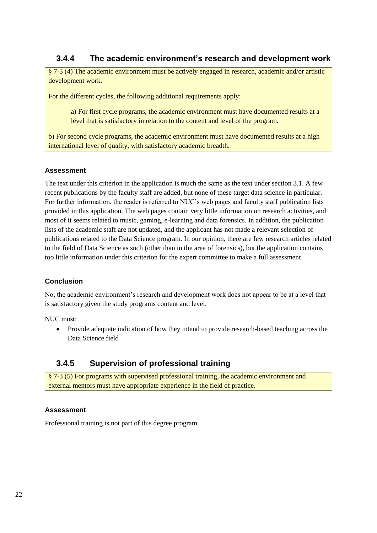### **3.4.4 The academic environment's research and development work**

§ 7-3 (4) The academic environment must be actively engaged in research, academic and/or artistic development work.

For the different cycles, the following additional requirements apply:

a) For first cycle programs, the academic environment must have documented results at a level that is satisfactory in relation to the content and level of the program.

b) For second cycle programs, the academic environment must have documented results at a high international level of quality, with satisfactory academic breadth.

#### **Assessment**

The text under this criterion in the application is much the same as the text under section 3.1. A few recent publications by the faculty staff are added, but none of these target data science in particular. For further information, the reader is referred to NUC's web pages and faculty staff publication lists provided in this application. The web pages contain very little information on research activities, and most of it seems related to music, gaming, e-learning and data forensics. In addition, the publication lists of the academic staff are not updated, and the applicant has not made a relevant selection of publications related to the Data Science program. In our opinion, there are few research articles related to the field of Data Science as such (other than in the area of forensics), but the application contains too little information under this criterion for the expert committee to make a full assessment.

#### **Conclusion**

No, the academic environment's research and development work does not appear to be at a level that is satisfactory given the study programs content and level.

NUC must:

 Provide adequate indication of how they intend to provide research-based teaching across the Data Science field

### **3.4.5 Supervision of professional training**

§ 7-3 (5) For programs with supervised professional training, the academic environment and external mentors must have appropriate experience in the field of practice.

#### **Assessment**

Professional training is not part of this degree program.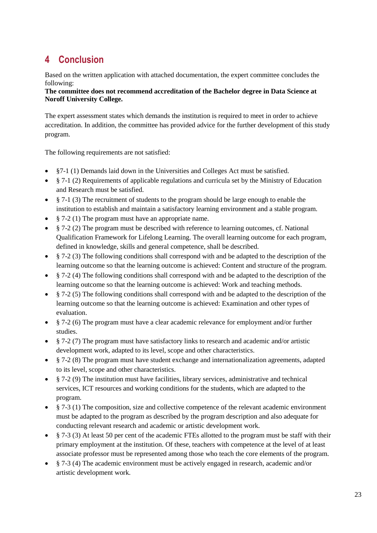# <span id="page-26-0"></span>**4 Conclusion**

Based on the written application with attached documentation, the expert committee concludes the following:

#### **The committee does not recommend accreditation of the Bachelor degree in Data Science at Noroff University College.**

The expert assessment states which demands the institution is required to meet in order to achieve accreditation. In addition, the committee has provided advice for the further development of this study program.

The following requirements are not satisfied:

- §7-1 (1) Demands laid down in the Universities and Colleges Act must be satisfied.
- § 7-1 (2) Requirements of applicable regulations and curricula set by the Ministry of Education and Research must be satisfied.
- § 7-1 (3) The recruitment of students to the program should be large enough to enable the institution to establish and maintain a satisfactory learning environment and a stable program.
- § 7-2 (1) The program must have an appropriate name.
- § 7-2 (2) The program must be described with reference to learning outcomes, cf. National Qualification Framework for Lifelong Learning. The overall learning outcome for each program, defined in knowledge, skills and general competence, shall be described.
- § 7-2 (3) The following conditions shall correspond with and be adapted to the description of the learning outcome so that the learning outcome is achieved: Content and structure of the program.
- § 7-2 (4) The following conditions shall correspond with and be adapted to the description of the learning outcome so that the learning outcome is achieved: Work and teaching methods.
- § 7-2 (5) The following conditions shall correspond with and be adapted to the description of the learning outcome so that the learning outcome is achieved: Examination and other types of evaluation.
- § 7-2 (6) The program must have a clear academic relevance for employment and/or further studies.
- $\frac{8}{3}$  7-2 (7) The program must have satisfactory links to research and academic and/or artistic development work, adapted to its level, scope and other characteristics.
- § 7-2 (8) The program must have student exchange and internationalization agreements, adapted to its level, scope and other characteristics.
- § 7-2 (9) The institution must have facilities, library services, administrative and technical services, ICT resources and working conditions for the students, which are adapted to the program.
- $§ 7-3$  (1) The composition, size and collective competence of the relevant academic environment must be adapted to the program as described by the program description and also adequate for conducting relevant research and academic or artistic development work.
- $\S$  7-3 (3) At least 50 per cent of the academic FTEs allotted to the program must be staff with their primary employment at the institution. Of these, teachers with competence at the level of at least associate professor must be represented among those who teach the core elements of the program.
- § 7-3 (4) The academic environment must be actively engaged in research, academic and/or artistic development work.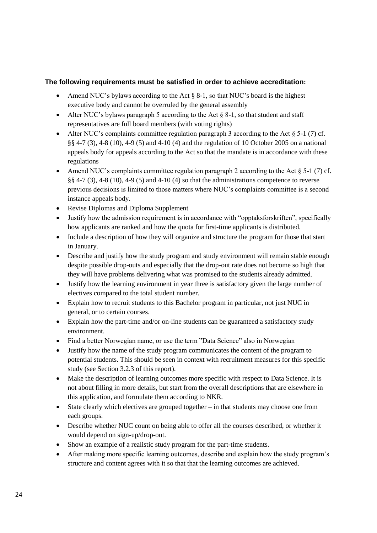#### **The following requirements must be satisfied in order to achieve accreditation:**

- Amend NUC's bylaws according to the Act  $\S 8-1$ , so that NUC's board is the highest executive body and cannot be overruled by the general assembly
- Alter NUC's bylaws paragraph 5 according to the Act  $\&$  8-1, so that student and staff representatives are full board members (with voting rights)
- Alter NUC's complaints committee regulation paragraph 3 according to the Act  $\S$  5-1 (7) cf. §§ 4-7 (3), 4-8 (10), 4-9 (5) and 4-10 (4) and the regulation of 10 October 2005 on a national appeals body for appeals according to the Act so that the mandate is in accordance with these regulations
- Amend NUC's complaints committee regulation paragraph 2 according to the Act  $\S$  5-1 (7) cf. §§ 4-7 (3), 4-8 (10), 4-9 (5) and 4-10 (4) so that the administrations competence to reverse previous decisions is limited to those matters where NUC's complaints committee is a second instance appeals body.
- Revise Diplomas and Diploma Supplement
- Justify how the admission requirement is in accordance with "opptaksforskriften", specifically how applicants are ranked and how the quota for first-time applicants is distributed.
- Include a description of how they will organize and structure the program for those that start in January.
- Describe and justify how the study program and study environment will remain stable enough despite possible drop-outs and especially that the drop-out rate does not become so high that they will have problems delivering what was promised to the students already admitted.
- Justify how the learning environment in year three is satisfactory given the large number of electives compared to the total student number.
- Explain how to recruit students to this Bachelor program in particular, not just NUC in general, or to certain courses.
- Explain how the part-time and/or on-line students can be guaranteed a satisfactory study environment.
- Find a better Norwegian name, or use the term "Data Science" also in Norwegian
- Justify how the name of the study program communicates the content of the program to potential students. This should be seen in context with recruitment measures for this specific study (see Section 3.2.3 of this report).
- Make the description of learning outcomes more specific with respect to Data Science. It is not about filling in more details, but start from the overall descriptions that are elsewhere in this application, and formulate them according to NKR.
- State clearly which electives are grouped together in that students may choose one from each groups.
- Describe whether NUC count on being able to offer all the courses described, or whether it would depend on sign-up/drop-out.
- Show an example of a realistic study program for the part-time students.
- After making more specific learning outcomes, describe and explain how the study program's structure and content agrees with it so that that the learning outcomes are achieved.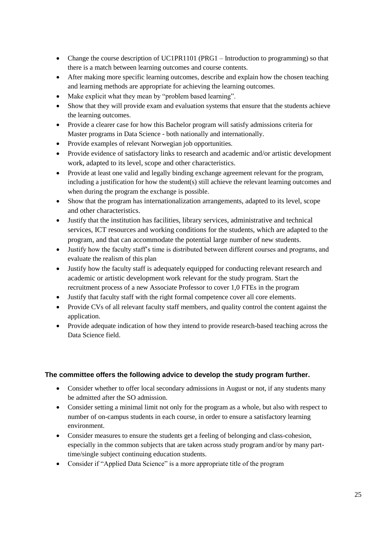- Change the course description of UC1PR1101 (PRG1 Introduction to programming) so that there is a match between learning outcomes and course contents.
- After making more specific learning outcomes, describe and explain how the chosen teaching and learning methods are appropriate for achieving the learning outcomes.
- Make explicit what they mean by "problem based learning".
- Show that they will provide exam and evaluation systems that ensure that the students achieve the learning outcomes.
- Provide a clearer case for how this Bachelor program will satisfy admissions criteria for Master programs in Data Science - both nationally and internationally.
- Provide examples of relevant Norwegian job opportunities.
- Provide evidence of satisfactory links to research and academic and/or artistic development work, adapted to its level, scope and other characteristics.
- Provide at least one valid and legally binding exchange agreement relevant for the program, including a justification for how the student(s) still achieve the relevant learning outcomes and when during the program the exchange is possible.
- Show that the program has internationalization arrangements, adapted to its level, scope and other characteristics.
- Justify that the institution has facilities, library services, administrative and technical services, ICT resources and working conditions for the students, which are adapted to the program, and that can accommodate the potential large number of new students.
- Justify how the faculty staff's time is distributed between different courses and programs, and evaluate the realism of this plan
- Justify how the faculty staff is adequately equipped for conducting relevant research and academic or artistic development work relevant for the study program. Start the recruitment process of a new Associate Professor to cover 1,0 FTEs in the program
- Justify that faculty staff with the right formal competence cover all core elements.
- Provide CVs of all relevant faculty staff members, and quality control the content against the application.
- Provide adequate indication of how they intend to provide research-based teaching across the Data Science field.

#### **The committee offers the following advice to develop the study program further.**

- Consider whether to offer local secondary admissions in August or not, if any students many be admitted after the SO admission.
- Consider setting a minimal limit not only for the program as a whole, but also with respect to number of on-campus students in each course, in order to ensure a satisfactory learning environment.
- Consider measures to ensure the students get a feeling of belonging and class-cohesion, especially in the common subjects that are taken across study program and/or by many parttime/single subject continuing education students.
- Consider if "Applied Data Science" is a more appropriate title of the program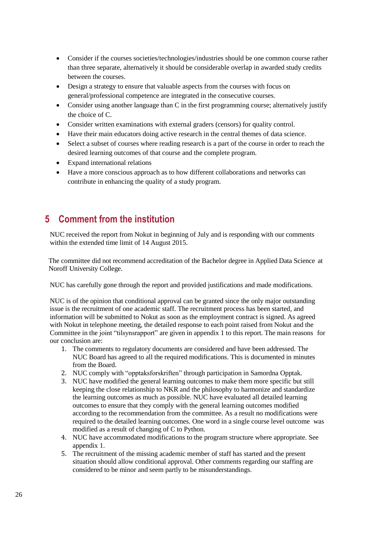- Consider if the courses societies/technologies/industries should be one common course rather than three separate, alternatively it should be considerable overlap in awarded study credits between the courses.
- Design a strategy to ensure that valuable aspects from the courses with focus on general/professional competence are integrated in the consecutive courses.
- Consider using another language than C in the first programming course; alternatively justify the choice of C.
- Consider written examinations with external graders (censors) for quality control.
- Have their main educators doing active research in the central themes of data science.
- Select a subset of courses where reading research is a part of the course in order to reach the desired learning outcomes of that course and the complete program.
- Expand international relations
- Have a more conscious approach as to how different collaborations and networks can contribute in enhancing the quality of a study program.

# <span id="page-29-0"></span>**5 Comment from the institution**

NUC received the report from Nokut in beginning of July and is responding with our comments within the extended time limit of 14 August 2015.

The committee did not recommend accreditation of the Bachelor degree in Applied Data Science at Noroff University College.

NUC has carefully gone through the report and provided justifications and made modifications.

NUC is of the opinion that conditional approval can be granted since the only major outstanding issue is the recruitment of one academic staff. The recruitment process has been started, and information will be submitted to Nokut as soon as the employment contract is signed. As agreed with Nokut in telephone meeting, the detailed response to each point raised from Nokut and the Committee in the joint "tilsynsrapport" are given in appendix 1 to this report. The main reasons for our conclusion are:

- 1. The comments to regulatory documents are considered and have been addressed. The NUC Board has agreed to all the required modifications. This is documented in minutes from the Board.
- 2. NUC comply with "opptaksforskriften" through participation in Samordna Opptak.
- 3. NUC have modified the general learning outcomes to make them more specific but still keeping the close relationship to NKR and the philosophy to harmonize and standardize the learning outcomes as much as possible. NUC have evaluated all detailed learning outcomes to ensure that they comply with the general learning outcomes modified according to the recommendation from the committee. As a result no modifications were required to the detailed learning outcomes. One word in a single course level outcome was modified as a result of changing of C to Python.
- 4. NUC have accommodated modifications to the program structure where appropriate. See appendix 1.
- 5. The recruitment of the missing academic member of staff has started and the present situation should allow conditional approval. Other comments regarding our staffing are considered to be minor and seem partly to be misunderstandings.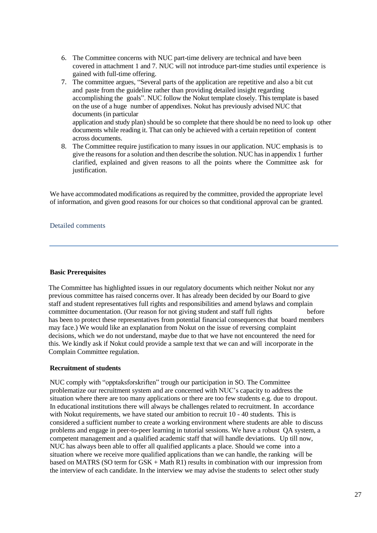- 6. The Committee concerns with NUC part-time delivery are technical and have been covered in attachment 1 and 7. NUC will not introduce part-time studies until experience is gained with full-time offering.
- 7. The committee argues, "Several parts of the application are repetitive and also a bit cut and paste from the guideline rather than providing detailed insight regarding accomplishing the goals". NUC follow the Nokut template closely. This template is based on the use of a huge number of appendixes. Nokut has previously advised NUC that documents (in particular application and study plan) should be so complete that there should be no need to look up other documents while reading it. That can only be achieved with a certain repetition of content across documents.
- 8. The Committee require justification to many issues in our application. NUC emphasis is to give the reasonsfor a solution and then describe the solution. NUC hasin appendix 1 further clarified, explained and given reasons to all the points where the Committee ask for justification.

We have accommodated modifications as required by the committee, provided the appropriate level of information, and given good reasons for our choices so that conditional approval can be granted.

#### Detailed comments

#### **Basic Prerequisites**

The Committee has highlighted issues in our regulatory documents which neither Nokut nor any previous committee has raised concerns over. It has already been decided by our Board to give staff and student representatives full rights and responsibilities and amend bylaws and complain committee documentation. (Our reason for not giving student and staff full rights before has been to protect these representatives from potential financial consequences that board members may face.) We would like an explanation from Nokut on the issue of reversing complaint decisions, which we do not understand, maybe due to that we have not encountered the need for this. We kindly ask if Nokut could provide a sample text that we can and will incorporate in the Complain Committee regulation.

#### **Recruitment of students**

NUC comply with "opptaksforskriften" trough our participation in SO. The Committee problematize our recruitment system and are concerned with NUC's capacity to address the situation where there are too many applications or there are too few students e.g. due to dropout. In educational institutions there will always be challenges related to recruitment. In accordance with Nokut requirements, we have stated our ambition to recruit 10 - 40 students. This is considered a sufficient number to create a working environment where students are able to discuss problems and engage in peer-to-peer learning in tutorial sessions. We have a robust QA system, a competent management and a qualified academic staff that will handle deviations. Up till now, NUC has always been able to offer all qualified applicants a place. Should we come into a situation where we receive more qualified applications than we can handle, the ranking will be based on MATRS (SO term for GSK + Math R1) results in combination with our impression from the interview of each candidate. In the interview we may advise the students to select other study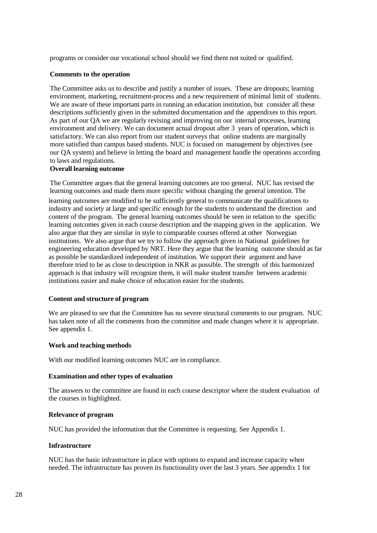programs or consider our vocational school should we find them not suited or qualified.

#### **Comments to the operation**

The Committee asks us to describe and justify a number of issues. These are dropouts; learning environment, marketing, recruitment-process and a new requirement of minimal limit of students. We are aware of these important parts in running an education institution, but consider all these descriptions sufficiently given in the submitted documentation and the appendixes to this report. As part of our QA we are regularly revising and improving on our internal processes, learning environment and delivery. We can document actual dropout after 3 years of operation, which is satisfactory. We can also report from our student surveys that online students are marginally more satisfied than campus based students. NUC is focused on management by objectives (see our QA system) and believe in letting the board and management handle the operations according to laws and regulations.

#### **Overall learning outcome**

The Committee argues that the general learning outcomes are too general. NUC has revised the learning outcomes and made them more specific without changing the general intention. The

learning outcomes are modified to be sufficiently general to communicate the qualifications to industry and society at large and specific enough for the students to understand the direction and content of the program. The general learning outcomes should be seen in relation to the specific learning outcomes given in each course description and the mapping given in the application. We also argue that they are similar in style to comparable courses offered at other Norwegian institutions. We also argue that we try to follow the approach given in National guidelines for engineering education developed by NRT. Here they argue that the learning outcome should as far as possible be standardized independent of institution. We support their argument and have therefore tried to be as close to description in NKR as possible. The strength of this harmonized approach is that industry will recognize them, it will make student transfer between academic institutions easier and make choice of education easier for the students.

#### **Content and structure of program**

We are pleased to see that the Committee has no severe structural comments to our program. NUC has taken note of all the comments from the committee and made changes where it is appropriate. See appendix 1.

#### **Work and teaching methods**

With our modified learning outcomes NUC are in compliance.

#### **Examination and other types of evaluation**

The answers to the committee are found in each course descriptor where the student evaluation of the courses in highlighted.

#### **Relevance of program**

NUC has provided the information that the Committee is requesting. See Appendix 1.

#### **Infrastructure**

NUC has the basic infrastructure in place with options to expand and increase capacity when needed. The infrastructure has proven its functionality over the last 3 years. See appendix 1 for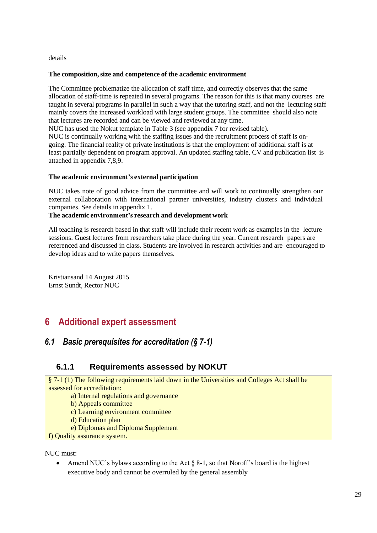details

#### **The composition,size and competence of the academic environment**

The Committee problematize the allocation of staff time, and correctly observes that the same allocation of staff-time is repeated in several programs. The reason for this is that many courses are taught in several programs in parallel in such a way that the tutoring staff, and not the lecturing staff mainly covers the increased workload with large student groups. The committee should also note that lectures are recorded and can be viewed and reviewed at any time.

NUC has used the Nokut template in Table 3 (see appendix 7 for revised table).

NUC is continually working with the staffing issues and the recruitment process of staff is ongoing. The financial reality of private institutions is that the employment of additional staff is at least partially dependent on program approval. An updated staffing table, CV and publication list is attached in appendix 7,8,9.

#### **The academic environment's external participation**

NUC takes note of good advice from the committee and will work to continually strengthen our external collaboration with international partner universities, industry clusters and individual companies. See details in appendix 1.

#### **The academic environment's research and development work**

All teaching is research based in that staff will include their recent work as examples in the lecture sessions. Guest lectures from researchers take place during the year. Current research papers are referenced and discussed in class. Students are involved in research activities and are encouraged to develop ideas and to write papers themselves.

<span id="page-32-0"></span>Kristiansand 14 August 2015 Ernst Sundt, Rector NUC

# **6 Additional expert assessment**

### <span id="page-32-1"></span>*6.1 Basic prerequisites for accreditation (§ 7-1)*

### **6.1.1 Requirements assessed by NOKUT**

§ 7-1 (1) The following requirements laid down in the Universities and Colleges Act shall be assessed for accreditation:

a) Internal regulations and governance

b) Appeals committee

c) Learning environment committee

d) Education plan

e) Diplomas and Diploma Supplement

f) Quality assurance system.

NUC must:

• Amend NUC's bylaws according to the Act  $\S 8-1$ , so that Noroff's board is the highest executive body and cannot be overruled by the general assembly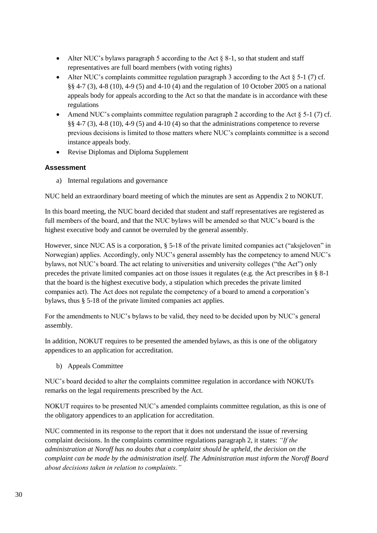- Alter NUC's bylaws paragraph 5 according to the Act  $\S$  8-1, so that student and staff representatives are full board members (with voting rights)
- Alter NUC's complaints committee regulation paragraph 3 according to the Act  $\S$  5-1 (7) cf. §§ 4-7 (3), 4-8 (10), 4-9 (5) and 4-10 (4) and the regulation of 10 October 2005 on a national appeals body for appeals according to the Act so that the mandate is in accordance with these regulations
- Amend NUC's complaints committee regulation paragraph 2 according to the Act  $\S$  5-1 (7) cf. §§ 4-7 (3), 4-8 (10), 4-9 (5) and 4-10 (4) so that the administrations competence to reverse previous decisions is limited to those matters where NUC's complaints committee is a second instance appeals body.
- Revise Diplomas and Diploma Supplement

a) Internal regulations and governance

NUC held an extraordinary board meeting of which the minutes are sent as Appendix 2 to NOKUT.

In this board meeting, the NUC board decided that student and staff representatives are registered as full members of the board, and that the NUC bylaws will be amended so that NUC's board is the highest executive body and cannot be overruled by the general assembly.

However, since NUC AS is a corporation, § 5-18 of the private limited companies act ("aksjeloven" in Norwegian) applies. Accordingly, only NUC's general assembly has the competency to amend NUC's bylaws, not NUC's board. The act relating to universities and university colleges ("the Act") only precedes the private limited companies act on those issues it regulates (e.g. the Act prescribes in § 8-1 that the board is the highest executive body, a stipulation which precedes the private limited companies act). The Act does not regulate the competency of a board to amend a corporation's bylaws, thus § 5-18 of the private limited companies act applies.

For the amendments to NUC's bylaws to be valid, they need to be decided upon by NUC's general assembly.

In addition, NOKUT requires to be presented the amended bylaws, as this is one of the obligatory appendices to an application for accreditation.

b) Appeals Committee

NUC's board decided to alter the complaints committee regulation in accordance with NOKUTs remarks on the legal requirements prescribed by the Act.

NOKUT requires to be presented NUC's amended complaints committee regulation, as this is one of the obligatory appendices to an application for accreditation.

NUC commented in its response to the report that it does not understand the issue of reversing complaint decisions. In the complaints committee regulations paragraph 2, it states: *"If the administration at Noroff has no doubts that a complaint should be upheld, the decision on the complaint can be made by the administration itself. The Administration must inform the Noroff Board about decisions taken in relation to complaints."*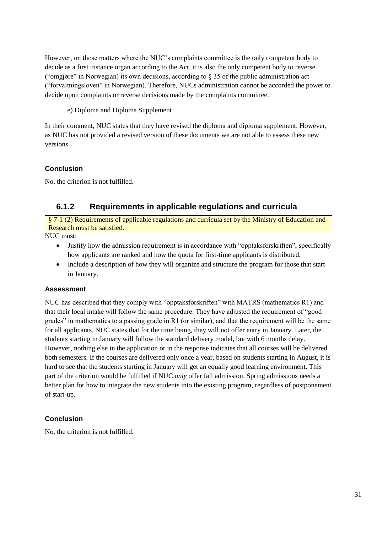However, on those matters where the NUC's complaints committee is the only competent body to decide as a first instance organ according to the Act, it is also the only competent body to reverse ("omgjøre" in Norwegian) its own decisions, according to § 35 of the public administration act ("forvaltningsloven" in Norwegian). Therefore, NUCs administration cannot be accorded the power to decide upon complaints or reverse decisions made by the complaints committee.

e) Diploma and Diploma Supplement

In their comment, NUC states that they have revised the diploma and diploma supplement. However, as NUC has not provided a revised version of these documents we are not able to assess these new versions.

### **Conclusion**

No, the criterion is not fulfilled.

### **6.1.2 Requirements in applicable regulations and curricula**

§ 7-1 (2) Requirements of applicable regulations and curricula set by the Ministry of Education and Research must be satisfied.

NUC must:

- Justify how the admission requirement is in accordance with "opptaksforskriften", specifically how applicants are ranked and how the quota for first-time applicants is distributed.
- Include a description of how they will organize and structure the program for those that start in January.

### **Assessment**

NUC has described that they comply with "opptaksforskriften" with MATRS (mathematics R1) and that their local intake will follow the same procedure. They have adjusted the requirement of "good grades" in mathematics to a passing grade in R1 (or similar), and that the requirement will be the same for all applicants. NUC states that for the time being, they will not offer entry in January. Later, the students starting in January will follow the standard delivery model, but with 6 months delay. However, nothing else in the application or in the response indicates that all courses will be delivered both semesters. If the courses are delivered only once a year, based on students starting in August, it is hard to see that the students starting in January will get an equally good learning environment. This part of the criterion would be fulfilled if NUC *only* offer fall admission. Spring admissions needs a better plan for how to integrate the new students into the existing program, regardless of postponement of start-up.

### **Conclusion**

No, the criterion is not fulfilled.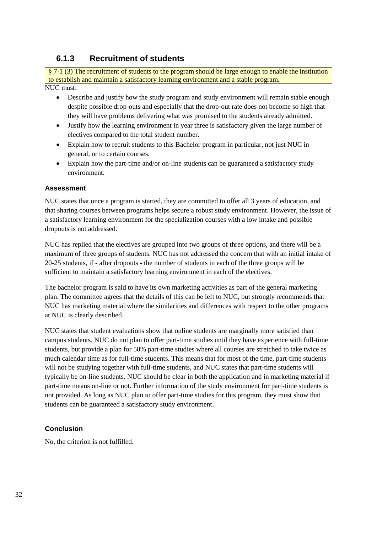### **6.1.3 Recruitment of students**

§ 7-1 (3) The recruitment of students to the program should be large enough to enable the institution to establish and maintain a satisfactory learning environment and a stable program. NUC must:

- Describe and justify how the study program and study environment will remain stable enough despite possible drop-outs and especially that the drop-out rate does not become so high that they will have problems delivering what was promised to the students already admitted.
- Justify how the learning environment in year three is satisfactory given the large number of electives compared to the total student number.
- Explain how to recruit students to this Bachelor program in particular, not just NUC in general, or to certain courses.
- Explain how the part-time and/or on-line students can be guaranteed a satisfactory study environment.

#### **Assessment**

NUC states that once a program is started, they are committed to offer all 3 years of education, and that sharing courses between programs helps secure a robust study environment. However, the issue of a satisfactory learning environment for the specialization courses with a low intake and possible dropouts is not addressed.

NUC has replied that the electives are grouped into two groups of three options, and there will be a maximum of three groups of students. NUC has not addressed the concern that with an initial intake of 20-25 students, if - after dropouts - the number of students in each of the three groups will be sufficient to maintain a satisfactory learning environment in each of the electives.

The bachelor program is said to have its own marketing activities as part of the general marketing plan. The committee agrees that the details of this can be left to NUC, but strongly recommends that NUC has marketing material where the similarities and differences with respect to the other programs at NUC is clearly described.

NUC states that student evaluations show that online students are marginally more satisfied than campus students. NUC do not plan to offer part-time studies until they have experience with full-time students, but provide a plan for 50% part-time studies where all courses are stretched to take twice as much calendar time as for full-time students. This means that for most of the time, part-time students will not be studying together with full-time students, and NUC states that part-time students will typically be on-line students. NUC should be clear in both the application and in marketing material if part-time means on-line or not. Further information of the study environment for part-time students is not provided. As long as NUC plan to offer part-time studies for this program, they must show that students can be guaranteed a satisfactory study environment.

#### **Conclusion**

No, the criterion is not fulfilled.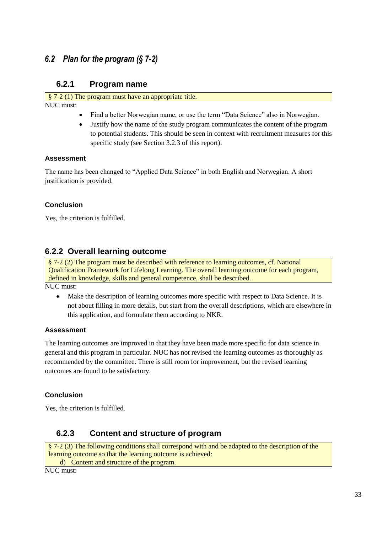### <span id="page-36-0"></span>*6.2 Plan for the program (§ 7-2)*

### **6.2.1 Program name**

§ 7-2 (1) The program must have an appropriate title. NUC must:

- Find a better Norwegian name, or use the term "Data Science" also in Norwegian.
- Justify how the name of the study program communicates the content of the program to potential students. This should be seen in context with recruitment measures for this specific study (see Section 3.2.3 of this report).

#### **Assessment**

The name has been changed to "Applied Data Science" in both English and Norwegian. A short justification is provided.

#### **Conclusion**

Yes, the criterion is fulfilled.

### **6.2.2 Overall learning outcome**

§ 7-2 (2) The program must be described with reference to learning outcomes, cf. National Qualification Framework for Lifelong Learning. The overall learning outcome for each program, defined in knowledge, skills and general competence, shall be described. NUC must:

 Make the description of learning outcomes more specific with respect to Data Science. It is not about filling in more details, but start from the overall descriptions, which are elsewhere in this application, and formulate them according to NKR.

#### **Assessment**

The learning outcomes are improved in that they have been made more specific for data science in general and this program in particular. NUC has not revised the learning outcomes as thoroughly as recommended by the committee. There is still room for improvement, but the revised learning outcomes are found to be satisfactory.

#### **Conclusion**

Yes, the criterion is fulfilled.

### **6.2.3 Content and structure of program**

§ 7-2 (3) The following conditions shall correspond with and be adapted to the description of the learning outcome so that the learning outcome is achieved: d) Content and structure of the program.

NUC must: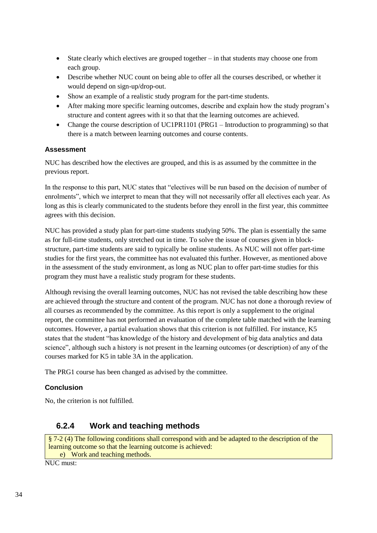- State clearly which electives are grouped together in that students may choose one from each group.
- Describe whether NUC count on being able to offer all the courses described, or whether it would depend on sign-up/drop-out.
- Show an example of a realistic study program for the part-time students.
- After making more specific learning outcomes, describe and explain how the study program's structure and content agrees with it so that that the learning outcomes are achieved.
- Change the course description of UC1PR1101 (PRG1 Introduction to programming) so that there is a match between learning outcomes and course contents.

NUC has described how the electives are grouped, and this is as assumed by the committee in the previous report.

In the response to this part, NUC states that "electives will be run based on the decision of number of enrolments", which we interpret to mean that they will not necessarily offer all electives each year. As long as this is clearly communicated to the students before they enroll in the first year, this committee agrees with this decision.

NUC has provided a study plan for part-time students studying 50%. The plan is essentially the same as for full-time students, only stretched out in time. To solve the issue of courses given in blockstructure, part-time students are said to typically be online students. As NUC will not offer part-time studies for the first years, the committee has not evaluated this further. However, as mentioned above in the assessment of the study environment, as long as NUC plan to offer part-time studies for this program they must have a realistic study program for these students.

Although revising the overall learning outcomes, NUC has not revised the table describing how these are achieved through the structure and content of the program. NUC has not done a thorough review of all courses as recommended by the committee. As this report is only a supplement to the original report, the committee has not performed an evaluation of the complete table matched with the learning outcomes. However, a partial evaluation shows that this criterion is not fulfilled. For instance, K5 states that the student "has knowledge of the history and development of big data analytics and data science", although such a history is not present in the learning outcomes (or description) of any of the courses marked for K5 in table 3A in the application.

The PRG1 course has been changed as advised by the committee.

#### **Conclusion**

No, the criterion is not fulfilled.

### **6.2.4 Work and teaching methods**

§ 7-2 (4) The following conditions shall correspond with and be adapted to the description of the learning outcome so that the learning outcome is achieved: e) Work and teaching methods.

 $\overline{\text{NUC must}}$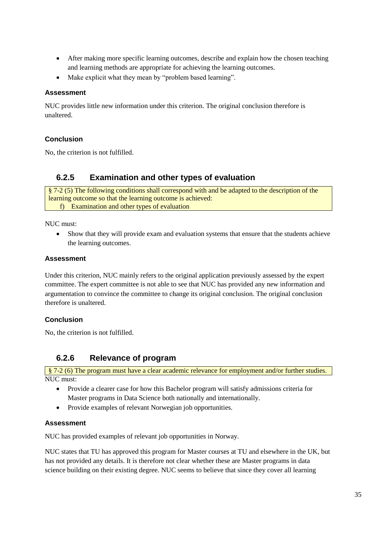- After making more specific learning outcomes, describe and explain how the chosen teaching and learning methods are appropriate for achieving the learning outcomes.
- Make explicit what they mean by "problem based learning".

NUC provides little new information under this criterion. The original conclusion therefore is unaltered.

### **Conclusion**

No, the criterion is not fulfilled.

### **6.2.5 Examination and other types of evaluation**

§ 7-2 (5) The following conditions shall correspond with and be adapted to the description of the learning outcome so that the learning outcome is achieved: f) Examination and other types of evaluation

NUC must:

 Show that they will provide exam and evaluation systems that ensure that the students achieve the learning outcomes.

#### **Assessment**

Under this criterion, NUC mainly refers to the original application previously assessed by the expert committee. The expert committee is not able to see that NUC has provided any new information and argumentation to convince the committee to change its original conclusion. The original conclusion therefore is unaltered.

#### **Conclusion**

No, the criterion is not fulfilled.

### **6.2.6 Relevance of program**

§ 7-2 (6) The program must have a clear academic relevance for employment and/or further studies.  $\overline{\text{NUC must}}$ 

- Provide a clearer case for how this Bachelor program will satisfy admissions criteria for Master programs in Data Science both nationally and internationally.
- Provide examples of relevant Norwegian job opportunities.

#### **Assessment**

NUC has provided examples of relevant job opportunities in Norway.

NUC states that TU has approved this program for Master courses at TU and elsewhere in the UK, but has not provided any details. It is therefore not clear whether these are Master programs in data science building on their existing degree. NUC seems to believe that since they cover all learning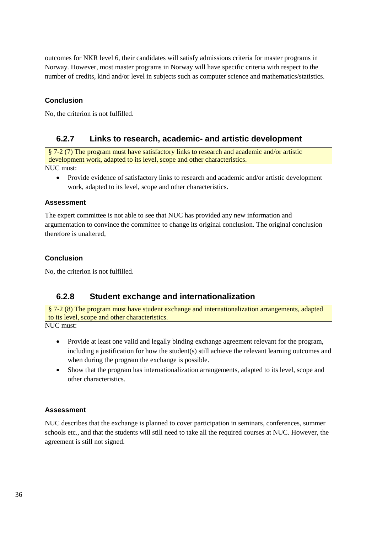outcomes for NKR level 6, their candidates will satisfy admissions criteria for master programs in Norway. However, most master programs in Norway will have specific criteria with respect to the number of credits, kind and/or level in subjects such as computer science and mathematics/statistics.

#### **Conclusion**

No, the criterion is not fulfilled.

### **6.2.7 Links to research, academic- and artistic development**

§ 7-2 (7) The program must have satisfactory links to research and academic and/or artistic development work, adapted to its level, scope and other characteristics.

NUC must:

 Provide evidence of satisfactory links to research and academic and/or artistic development work, adapted to its level, scope and other characteristics.

#### **Assessment**

The expert committee is not able to see that NUC has provided any new information and argumentation to convince the committee to change its original conclusion. The original conclusion therefore is unaltered,

#### **Conclusion**

No, the criterion is not fulfilled.

### **6.2.8 Student exchange and internationalization**

§ 7-2 (8) The program must have student exchange and internationalization arrangements, adapted to its level, scope and other characteristics.

NUC must<sup>1</sup>

- Provide at least one valid and legally binding exchange agreement relevant for the program, including a justification for how the student(s) still achieve the relevant learning outcomes and when during the program the exchange is possible.
- Show that the program has internationalization arrangements, adapted to its level, scope and other characteristics.

#### **Assessment**

NUC describes that the exchange is planned to cover participation in seminars, conferences, summer schools etc., and that the students will still need to take all the required courses at NUC. However, the agreement is still not signed.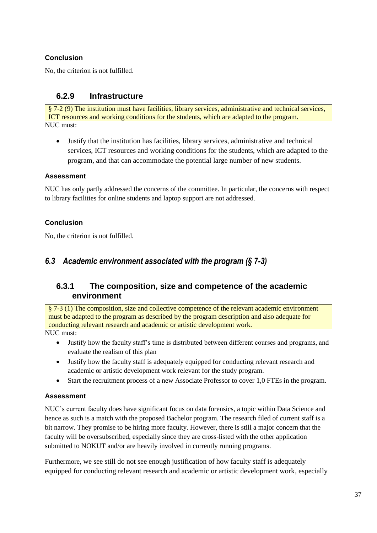### **Conclusion**

No, the criterion is not fulfilled.

### **6.2.9 Infrastructure**

§ 7-2 (9) The institution must have facilities, library services, administrative and technical services, ICT resources and working conditions for the students, which are adapted to the program. NUC must:

 Justify that the institution has facilities, library services, administrative and technical services, ICT resources and working conditions for the students, which are adapted to the program, and that can accommodate the potential large number of new students.

#### **Assessment**

NUC has only partly addressed the concerns of the committee. In particular, the concerns with respect to library facilities for online students and laptop support are not addressed.

#### **Conclusion**

No, the criterion is not fulfilled.

### <span id="page-40-0"></span>*6.3 Academic environment associated with the program (§ 7-3)*

### **6.3.1 The composition, size and competence of the academic environment**

§ 7-3 (1) The composition, size and collective competence of the relevant academic environment must be adapted to the program as described by the program description and also adequate for conducting relevant research and academic or artistic development work.

NUC must:

- Justify how the faculty staff's time is distributed between different courses and programs, and evaluate the realism of this plan
- Justify how the faculty staff is adequately equipped for conducting relevant research and academic or artistic development work relevant for the study program.
- Start the recruitment process of a new Associate Professor to cover 1,0 FTEs in the program.

#### **Assessment**

NUC's current faculty does have significant focus on data forensics, a topic within Data Science and hence as such is a match with the proposed Bachelor program. The research filed of current staff is a bit narrow. They promise to be hiring more faculty. However, there is still a major concern that the faculty will be oversubscribed, especially since they are cross-listed with the other application submitted to NOKUT and/or are heavily involved in currently running programs.

Furthermore, we see still do not see enough justification of how faculty staff is adequately equipped for conducting relevant research and academic or artistic development work, especially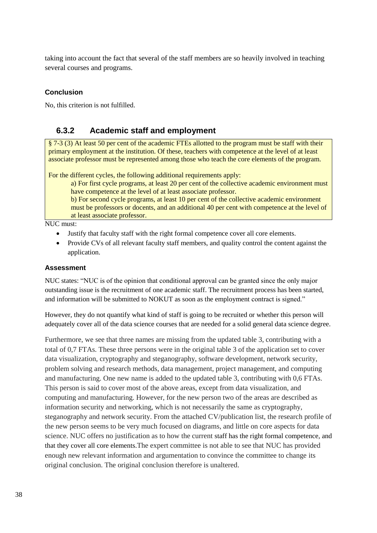taking into account the fact that several of the staff members are so heavily involved in teaching several courses and programs.

#### **Conclusion**

No, this criterion is not fulfilled.

### **6.3.2 Academic staff and employment**

§ 7-3 (3) At least 50 per cent of the academic FTEs allotted to the program must be staff with their primary employment at the institution. Of these, teachers with competence at the level of at least associate professor must be represented among those who teach the core elements of the program.

For the different cycles, the following additional requirements apply:

a) For first cycle programs, at least 20 per cent of the collective academic environment must have competence at the level of at least associate professor.

b) For second cycle programs, at least 10 per cent of the collective academic environment must be professors or docents, and an additional 40 per cent with competence at the level of at least associate professor.

NUC must:

- Justify that faculty staff with the right formal competence cover all core elements.
- Provide CVs of all relevant faculty staff members, and quality control the content against the application.

#### **Assessment**

NUC states: "NUC is of the opinion that conditional approval can be granted since the only major outstanding issue is the recruitment of one academic staff. The recruitment process has been started, and information will be submitted to NOKUT as soon as the employment contract is signed."

However, they do not quantify what kind of staff is going to be recruited or whether this person will adequately cover all of the data science courses that are needed for a solid general data science degree.

Furthermore, we see that three names are missing from the updated table 3, contributing with a total of 0,7 FTAs. These three persons were in the original table 3 of the application set to cover data visualization, cryptography and steganography, software development, network security, problem solving and research methods, data management, project management, and computing and manufacturing. One new name is added to the updated table 3, contributing with 0,6 FTAs. This person is said to cover most of the above areas, except from data visualization, and computing and manufacturing. However, for the new person two of the areas are described as information security and networking, which is not necessarily the same as cryptography, steganography and network security. From the attached CV/publication list, the research profile of the new person seems to be very much focused on diagrams, and little on core aspects for data science. NUC offers no justification as to how the current staff has the right formal competence, and that they cover all core elements.The expert committee is not able to see that NUC has provided enough new relevant information and argumentation to convince the committee to change its original conclusion. The original conclusion therefore is unaltered.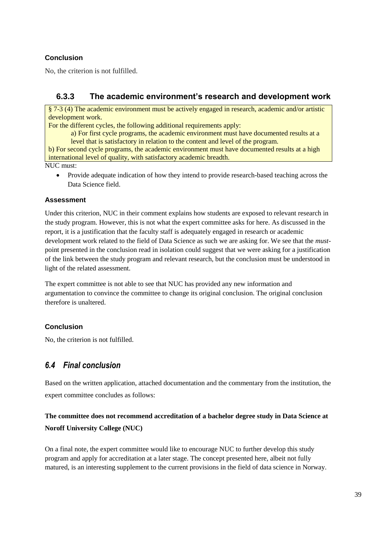### **Conclusion**

No, the criterion is not fulfilled.

### **6.3.3 The academic environment's research and development work**

§ 7-3 (4) The academic environment must be actively engaged in research, academic and/or artistic development work.

For the different cycles, the following additional requirements apply:

a) For first cycle programs, the academic environment must have documented results at a level that is satisfactory in relation to the content and level of the program.

b) For second cycle programs, the academic environment must have documented results at a high international level of quality, with satisfactory academic breadth.

NUC must:

 Provide adequate indication of how they intend to provide research-based teaching across the Data Science field.

#### **Assessment**

Under this criterion, NUC in their comment explains how students are exposed to relevant research in the study program. However, this is not what the expert committee asks for here. As discussed in the report, it is a justification that the faculty staff is adequately engaged in research or academic development work related to the field of Data Science as such we are asking for. We see that the *must*point presented in the conclusion read in isolation could suggest that we were asking for a justification of the link between the study program and relevant research, but the conclusion must be understood in light of the related assessment.

The expert committee is not able to see that NUC has provided any new information and argumentation to convince the committee to change its original conclusion. The original conclusion therefore is unaltered.

#### **Conclusion**

No, the criterion is not fulfilled.

### <span id="page-42-0"></span>*6.4 Final conclusion*

Based on the written application, attached documentation and the commentary from the institution, the expert committee concludes as follows:

### **The committee does not recommend accreditation of a bachelor degree study in Data Science at Noroff University College (NUC)**

On a final note, the expert committee would like to encourage NUC to further develop this study program and apply for accreditation at a later stage. The concept presented here, albeit not fully matured, is an interesting supplement to the current provisions in the field of data science in Norway.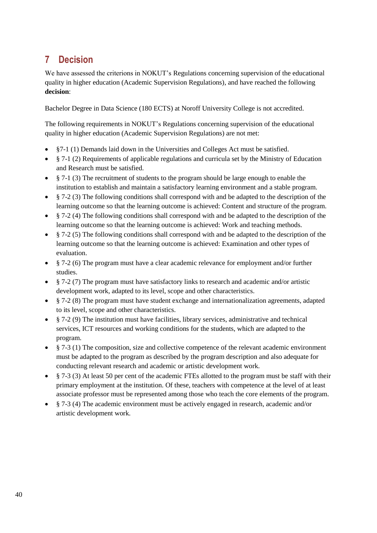# <span id="page-43-0"></span>**7 Decision**

We have assessed the criterions in NOKUT's Regulations concerning supervision of the educational [quality in higher education \(Academic Supervision Regulations\),](http://www.nokut.no/Documents/NOKUT/Artikkelbibliotek/Norsk_utdanning/Forskrifter_Kriterier_mm/Regulations_concerning_supervision_of_the_educational_quality_in_higher_education.pdf) and have reached the following **decision**:

Bachelor Degree in Data Science (180 ECTS) at Noroff University College is not accredited.

The following requirements in NOKUT's [Regulations concerning supervision of the educational](http://www.nokut.no/Documents/NOKUT/Artikkelbibliotek/Norsk_utdanning/Forskrifter_Kriterier_mm/Regulations_concerning_supervision_of_the_educational_quality_in_higher_education.pdf)  [quality in higher education \(Academic Supervision Regulations\)](http://www.nokut.no/Documents/NOKUT/Artikkelbibliotek/Norsk_utdanning/Forskrifter_Kriterier_mm/Regulations_concerning_supervision_of_the_educational_quality_in_higher_education.pdf) are not met:

- §7-1 (1) Demands laid down in the Universities and Colleges Act must be satisfied.
- § 7-1 (2) Requirements of applicable regulations and curricula set by the Ministry of Education and Research must be satisfied.
- $§$  7-1 (3) The recruitment of students to the program should be large enough to enable the institution to establish and maintain a satisfactory learning environment and a stable program.
- § 7-2 (3) The following conditions shall correspond with and be adapted to the description of the learning outcome so that the learning outcome is achieved: Content and structure of the program.
- § 7-2 (4) The following conditions shall correspond with and be adapted to the description of the learning outcome so that the learning outcome is achieved: Work and teaching methods.
- § 7-2 (5) The following conditions shall correspond with and be adapted to the description of the learning outcome so that the learning outcome is achieved: Examination and other types of evaluation.
- § 7-2 (6) The program must have a clear academic relevance for employment and/or further studies.
- § 7-2 (7) The program must have satisfactory links to research and academic and/or artistic development work, adapted to its level, scope and other characteristics.
- § 7-2 (8) The program must have student exchange and internationalization agreements, adapted to its level, scope and other characteristics.
- $§$  7-2 (9) The institution must have facilities, library services, administrative and technical services, ICT resources and working conditions for the students, which are adapted to the program.
- § 7-3 (1) The composition, size and collective competence of the relevant academic environment must be adapted to the program as described by the program description and also adequate for conducting relevant research and academic or artistic development work.
- § 7-3 (3) At least 50 per cent of the academic FTEs allotted to the program must be staff with their primary employment at the institution. Of these, teachers with competence at the level of at least associate professor must be represented among those who teach the core elements of the program.
- § 7-3 (4) The academic environment must be actively engaged in research, academic and/or artistic development work.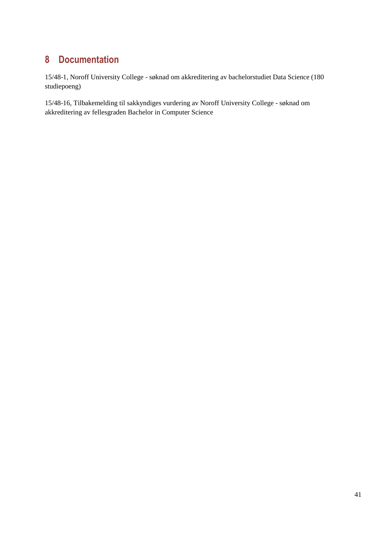# <span id="page-44-0"></span>**8 Documentation**

15/48-1, Noroff University College - søknad om akkreditering av bachelorstudiet Data Science (180 studiepoeng)

15/48-16, Tilbakemelding til sakkyndiges vurdering av Noroff University College - søknad om akkreditering av fellesgraden Bachelor in Computer Science